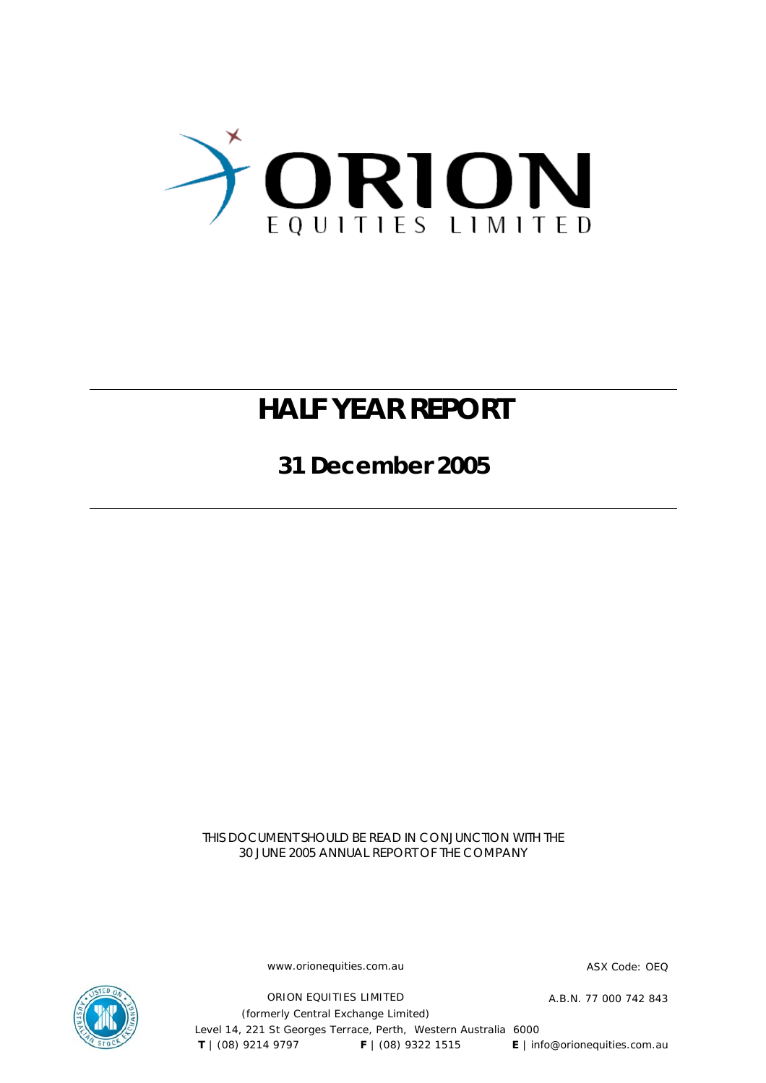

# **HALF YEAR REPORT**

**31 December 2005** 

THIS DOCUMENT SHOULD BE READ IN CONJUNCTION WITH THE 30 JUNE 2005 ANNUAL REPORT OF THE COMPANY

www.orionequities.com.au ASX Code: OEQ

ORION EQUITIES LIMITED A.B.N. 77 000 742 843

(formerly Central Exchange Limited) Level 14, 221 St Georges Terrace, Perth, Western Australia 6000  **T** | (08) 9214 9797 **F** | (08) 9322 1515 **E** | info@orionequities.com.au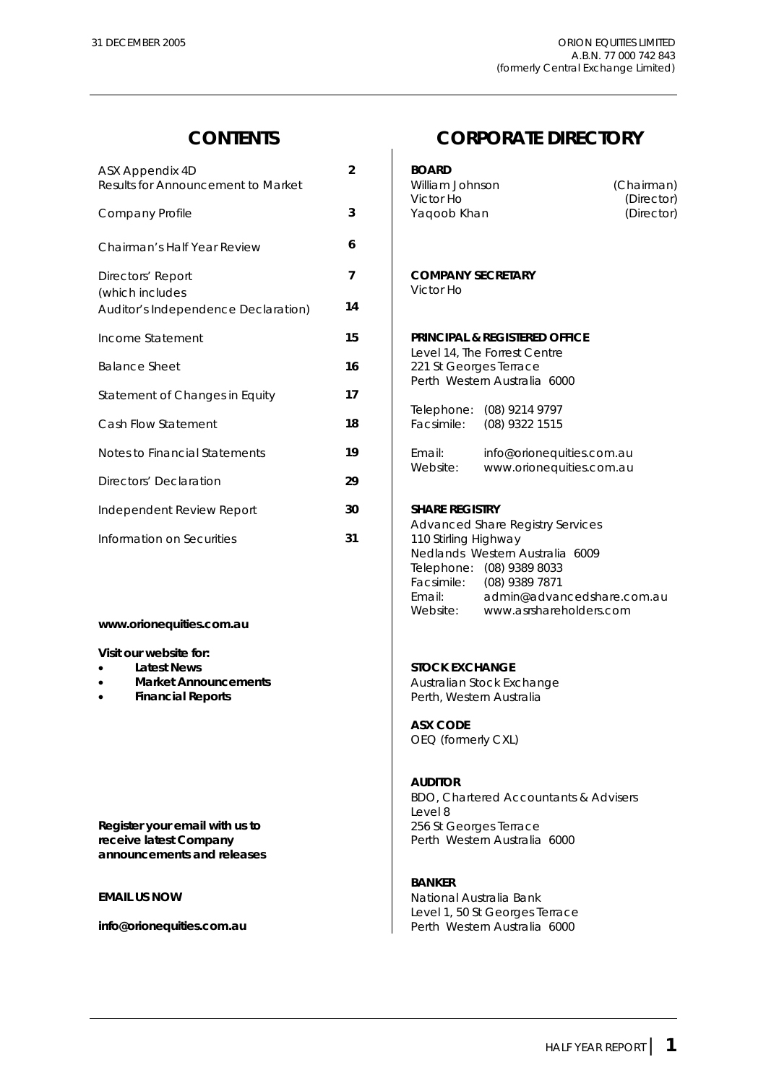| ASX Appendix 4D<br>Results for Announcement to Market  | $\overline{2}$ | <b>BOARD</b><br>William Johnson<br>(Cha<br>Victor Ho<br>(                              |
|--------------------------------------------------------|----------------|----------------------------------------------------------------------------------------|
| Company Profile                                        | 3              | (D)<br>Yaqoob Khan                                                                     |
| Chairman's Half Year Review                            | 6              |                                                                                        |
| Directors' Report                                      | $\overline{7}$ | <b>COMPANY SECRETARY</b><br>Victor Ho                                                  |
| (which includes<br>Auditor's Independence Declaration) | 14             |                                                                                        |
| Income Statement                                       | 15             | <b>PRINCIPAL &amp; REGISTERED OFFICE</b>                                               |
| Balance Sheet                                          | 16             | Level 14, The Forrest Centre<br>221 St Georges Terrace<br>Perth Western Australia 6000 |
| Statement of Changes in Equity                         | 17             |                                                                                        |
| Cash Flow Statement                                    | 18             | Telephone: (08) 9214 9797<br>Facsimile:<br>(08) 9322 1515                              |
| Notes to Financial Statements                          | 19             | Email:<br>info@orionequities.com.au                                                    |
| Directors' Declaration                                 | 29             | www.orionequities.com.au<br>Website:                                                   |
| Independent Review Report                              | 30             | <b>SHARE REGISTRY</b>                                                                  |
| Information on Securities                              | 31             | <b>Advanced Share Registry Services</b><br>110 Stirling Highway                        |

### **www.orionequities.com.au**

**Visit our website for:** 

- 
- 
- 

**Register your email with us to <br>
<b>Register your email with us to** <br> **Perth Western Australia**<br> **Perth Western Australia announcements and releases** 

### **CONTENTS CORPORATE DIRECTORY**

| ASX Appendix 4D<br>Results for Announcement to Market  | $\overline{2}$ | <b>BOARD</b><br>William Johnson<br>(Chairman)<br>Victor Ho<br>(Director)                                                                                                                                                                       |
|--------------------------------------------------------|----------------|------------------------------------------------------------------------------------------------------------------------------------------------------------------------------------------------------------------------------------------------|
| Company Profile                                        | 3              | Yaqoob Khan<br>(Director)                                                                                                                                                                                                                      |
| Chairman's Half Year Review                            | 6              |                                                                                                                                                                                                                                                |
| Directors' Report                                      | $\overline{7}$ | <b>COMPANY SECRETARY</b><br>Victor Ho                                                                                                                                                                                                          |
| (which includes<br>Auditor's Independence Declaration) | 14             |                                                                                                                                                                                                                                                |
| Income Statement                                       | 15             | <b>PRINCIPAL &amp; REGISTERED OFFICE</b>                                                                                                                                                                                                       |
| <b>Balance Sheet</b>                                   | 16             | Level 14, The Forrest Centre<br>221 St Georges Terrace                                                                                                                                                                                         |
| Statement of Changes in Equity                         | 17             | Perth Western Australia 6000                                                                                                                                                                                                                   |
| Cash Flow Statement                                    | 18             | Telephone: (08) 9214 9797<br>(08) 9322 1515<br>Facsimile:                                                                                                                                                                                      |
| Notes to Financial Statements                          | 19             | Email:<br>info@orionequities.com.au<br>Website:                                                                                                                                                                                                |
| Directors' Declaration                                 | 29             | www.orionequities.com.au                                                                                                                                                                                                                       |
| Independent Review Report                              | 30             | <b>SHARE REGISTRY</b>                                                                                                                                                                                                                          |
| Information on Securities                              | 31             | <b>Advanced Share Registry Services</b><br>110 Stirling Highway<br>Nedlands Western Australia 6009<br>Telephone: (08) 9389 8033<br>Facsimile:<br>(08) 9389 7871<br>Email:<br>admin@advancedshare.com.au<br>Website:<br>www.asrshareholders.com |

### **Latest News Contract Contract Contract Contract Contract Contract Contract Contract Contract Contract Contract Contract Contract Contract Contract Contract Contract Contract Contract Contract Contract Contract Contract**

**Market Announcements Australian Stock Exchange Financial Reports Perth, Western Australia** 

> **ASX CODE**  OEQ (formerly CXL)

### **AUDITOR**

 BDO, Chartered Accountants & Advisers Level 8 Perth Western Australia 6000

### **BANKER**

**EMAIL US NOW CONSUMING THE CONSUMING SET ALCOHOLOGICAL EXAMPLE SET ALCOHOLOGICAL EXAMPLE SET ALCOHOLOGICAL EXAMPLE SET ALCOHOLOGICAL EXAMPLE SET ALCOHOLOGICAL EXAMPLE SET ALCOHOLOGICAL EXAMPLE SET ALCOHOLOGICAL EXAMPLE SE**  Level 1, 50 St Georges Terrace **info@orionequities.com.au 1996** Perth Western Australia 6000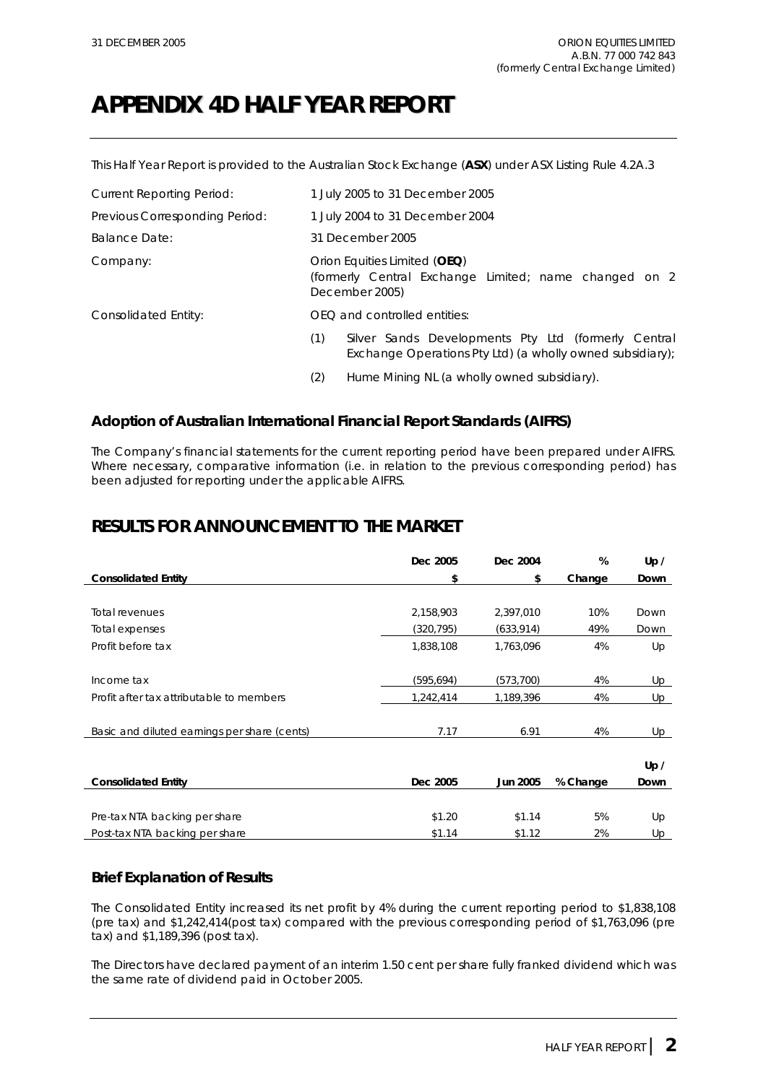# **APPENDIX 4D HALF YEAR REPORT**

This Half Year Report is provided to the Australian Stock Exchange (**ASX**) under ASX Listing Rule 4.2A.3

| <b>Current Reporting Period:</b> | 1 July 2005 to 31 December 2005                                                                                         |
|----------------------------------|-------------------------------------------------------------------------------------------------------------------------|
| Previous Corresponding Period:   | 1 July 2004 to 31 December 2004                                                                                         |
| <b>Balance Date:</b>             | 31 December 2005                                                                                                        |
| Company:                         | Orion Equities Limited (OEQ)<br>(formerly Central Exchange Limited; name changed on 2<br>December 2005)                 |
| Consolidated Entity:             | OEO and controlled entities:                                                                                            |
|                                  | (1)<br>Silver Sands Developments Pty Ltd (formerly Central<br>Exchange Operations Pty Ltd) (a wholly owned subsidiary); |
|                                  | Hume Mining NL (a wholly owned subsidiary).<br>(2)                                                                      |

### **Adoption of Australian International Financial Report Standards (AIFRS)**

The Company's financial statements for the current reporting period have been prepared under AIFRS. Where necessary, comparative information (i.e. in relation to the previous corresponding period) has been adjusted for reporting under the applicable AIFRS.

### **RESULTS FOR ANNOUNCEMENT TO THE MARKET**

|                                              | Dec 2005   | Dec 2004        | %        | Up / |
|----------------------------------------------|------------|-----------------|----------|------|
| <b>Consolidated Entity</b>                   | \$         | \$              | Change   | Down |
|                                              |            |                 |          |      |
| <b>Total revenues</b>                        | 2,158,903  | 2,397,010       | 10%      | Down |
| Total expenses                               | (320, 795) | (633, 914)      | 49%      | Down |
| Profit before tax                            | 1,838,108  | 1,763,096       | 4%       | Up   |
|                                              |            |                 |          |      |
| Income tax                                   | (595, 694) | (573, 700)      | 4%       | Up   |
| Profit after tax attributable to members     | 1,242,414  | 1,189,396       | 4%       | Up   |
|                                              |            |                 |          |      |
| Basic and diluted earnings per share (cents) | 7.17       | 6.91            | 4%       | Up   |
|                                              |            |                 |          |      |
|                                              |            |                 |          | Up / |
| <b>Consolidated Entity</b>                   | Dec 2005   | <b>Jun 2005</b> | % Change | Down |
|                                              |            |                 |          |      |
| Pre-tax NTA backing per share                | \$1.20     | \$1.14          | 5%       | Up   |
| Post-tax NTA backing per share               | \$1.14     | \$1.12          | 2%       | Up   |

### **Brief Explanation of Results**

The Consolidated Entity increased its net profit by 4% during the current reporting period to \$1,838,108 (pre tax) and \$1,242,414(post tax) compared with the previous corresponding period of \$1,763,096 (pre tax) and \$1,189,396 (post tax).

The Directors have declared payment of an interim 1.50 cent per share fully franked dividend which was the same rate of dividend paid in October 2005.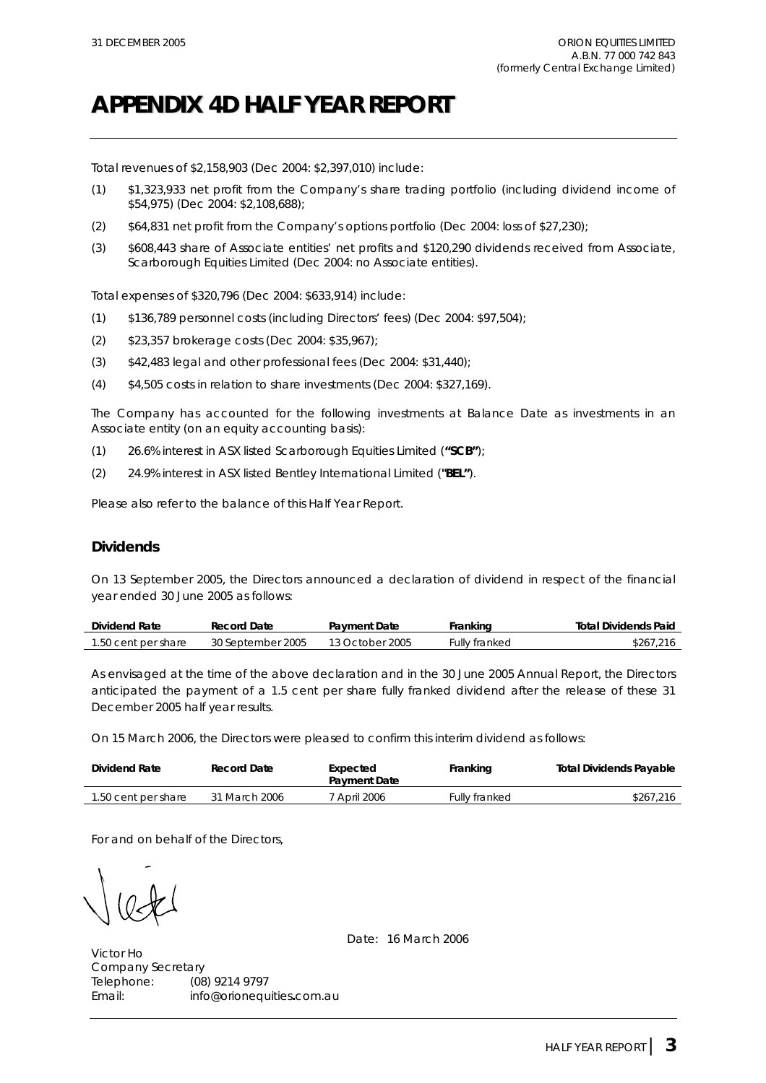# **APPENDIX 4D HALF YEAR REPORT**

Total revenues of \$2,158,903 (Dec 2004: \$2,397,010) include:

- (1) \$1,323,933 net profit from the Company's share trading portfolio (including dividend income of \$54,975) (Dec 2004: \$2,108,688);
- (2) \$64,831 net profit from the Company's options portfolio (Dec 2004: loss of \$27,230);
- (3) \$608,443 share of Associate entities' net profits and \$120,290 dividends received from Associate, Scarborough Equities Limited (Dec 2004: no Associate entities).

Total expenses of \$320,796 (Dec 2004: \$633,914) include:

- (1) \$136,789 personnel costs (including Directors' fees) (Dec 2004: \$97,504);
- (2) \$23,357 brokerage costs (Dec 2004: \$35,967);
- (3) \$42,483 legal and other professional fees (Dec 2004: \$31,440);
- (4) \$4,505 costs in relation to share investments (Dec 2004: \$327,169).

The Company has accounted for the following investments at Balance Date as investments in an Associate entity (on an equity accounting basis):

- (1) 26.6% interest in ASX listed Scarborough Equities Limited (**"SCB"**);
- (2) 24.9% interest in ASX listed Bentley International Limited (**"BEL"**).

Please also refer to the balance of this Half Year Report.

### **Dividends**

On 13 September 2005, the Directors announced a declaration of dividend in respect of the financial year ended 30 June 2005 as follows:

| Dividend Rate       | Record Date       | <b>Payment Date</b> | Franking      | <b>Total Dividends Paid</b> |
|---------------------|-------------------|---------------------|---------------|-----------------------------|
| 1.50 cent per share | 30 September 2005 | 13 October 2005     | Fullv franked | \$267.216                   |

As envisaged at the time of the above declaration and in the 30 June 2005 Annual Report, the Directors anticipated the payment of a 1.5 cent per share fully franked dividend after the release of these 31 December 2005 half year results.

On 15 March 2006, the Directors were pleased to confirm this interim dividend as follows:

| Dividend Rate       | Record Date   | Expected<br><b>Payment Date</b> | Franking             | <b>Total Dividends Payable</b> |
|---------------------|---------------|---------------------------------|----------------------|--------------------------------|
| 1.50 cent per share | 31 March 2006 | <sup>7</sup> April 2006         | <b>Fully franked</b> | \$267,216                      |

For and on behalf of the Directors,

Date: 16 March 2006

Victor Ho Company Secretary Telephone: (08) 9214 9797 Email: info@orionequities**.**com.au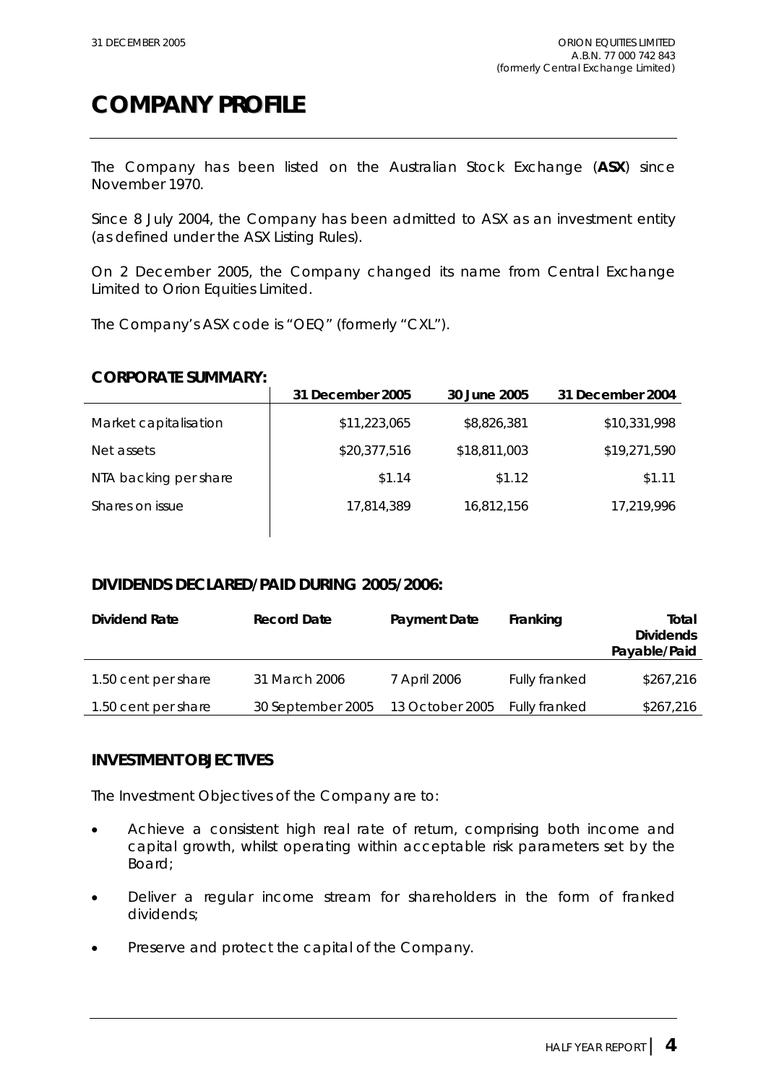# **COMPANY PROFILE**

The Company has been listed on the Australian Stock Exchange (**ASX**) since November 1970.

Since 8 July 2004, the Company has been admitted to ASX as an investment entity (as defined under the ASX Listing Rules).

On 2 December 2005, the Company changed its name from Central Exchange Limited to Orion Equities Limited.

The Company's ASX code is "OEQ" (formerly "CXL").

### **CORPORATE SUMMARY:**

|                       | 31 December 2005 | 30 June 2005 | 31 December 2004 |
|-----------------------|------------------|--------------|------------------|
| Market capitalisation | \$11,223,065     | \$8,826,381  | \$10,331,998     |
| Net assets            | \$20,377,516     | \$18,811,003 | \$19,271,590     |
| NTA backing per share | \$1.14           | \$1.12       | \$1.11           |
| Shares on issue       | 17,814,389       | 16,812,156   | 17,219,996       |

### **DIVIDENDS DECLARED/PAID DURING 2005/2006:**

| Dividend Rate       | <b>Record Date</b> | <b>Payment Date</b> | Franking      | Total<br><b>Dividends</b><br>Payable/Paid |
|---------------------|--------------------|---------------------|---------------|-------------------------------------------|
| 1.50 cent per share | 31 March 2006      | 7 April 2006        | Fully franked | \$267,216                                 |
| 1.50 cent per share | 30 September 2005  | 13 October 2005     | Fully franked | \$267,216                                 |

### **INVESTMENT OBJECTIVES**

The Investment Objectives of the Company are to:

- Achieve a consistent high real rate of return, comprising both income and capital growth, whilst operating within acceptable risk parameters set by the Board;
- Deliver a regular income stream for shareholders in the form of franked dividends;
- Preserve and protect the capital of the Company.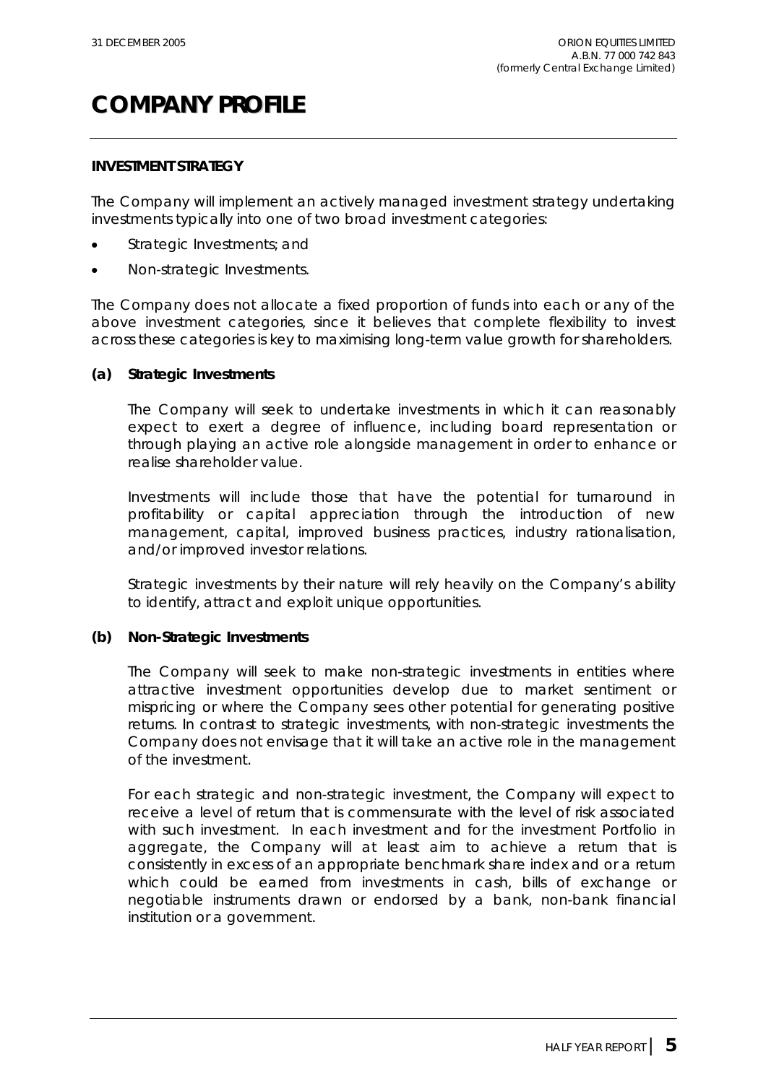# **COMPANY PROFILE**

### **INVESTMENT STRATEGY**

The Company will implement an actively managed investment strategy undertaking investments typically into one of two broad investment categories:

- Strategic Investments; and
- Non-strategic Investments.

The Company does not allocate a fixed proportion of funds into each or any of the above investment categories, since it believes that complete flexibility to invest across these categories is key to maximising long-term value growth for shareholders.

### **(a) Strategic Investments**

The Company will seek to undertake investments in which it can reasonably expect to exert a degree of influence, including board representation or through playing an active role alongside management in order to enhance or realise shareholder value.

Investments will include those that have the potential for turnaround in profitability or capital appreciation through the introduction of new management, capital, improved business practices, industry rationalisation, and/or improved investor relations.

Strategic investments by their nature will rely heavily on the Company's ability to identify, attract and exploit unique opportunities.

### **(b) Non-Strategic Investments**

The Company will seek to make non-strategic investments in entities where attractive investment opportunities develop due to market sentiment or mispricing or where the Company sees other potential for generating positive returns. In contrast to strategic investments, with non-strategic investments the Company does not envisage that it will take an active role in the management of the investment.

For each strategic and non-strategic investment, the Company will expect to receive a level of return that is commensurate with the level of risk associated with such investment. In each investment and for the investment Portfolio in aggregate, the Company will at least aim to achieve a return that is consistently in excess of an appropriate benchmark share index and or a return which could be earned from investments in cash, bills of exchange or negotiable instruments drawn or endorsed by a bank, non-bank financial institution or a government.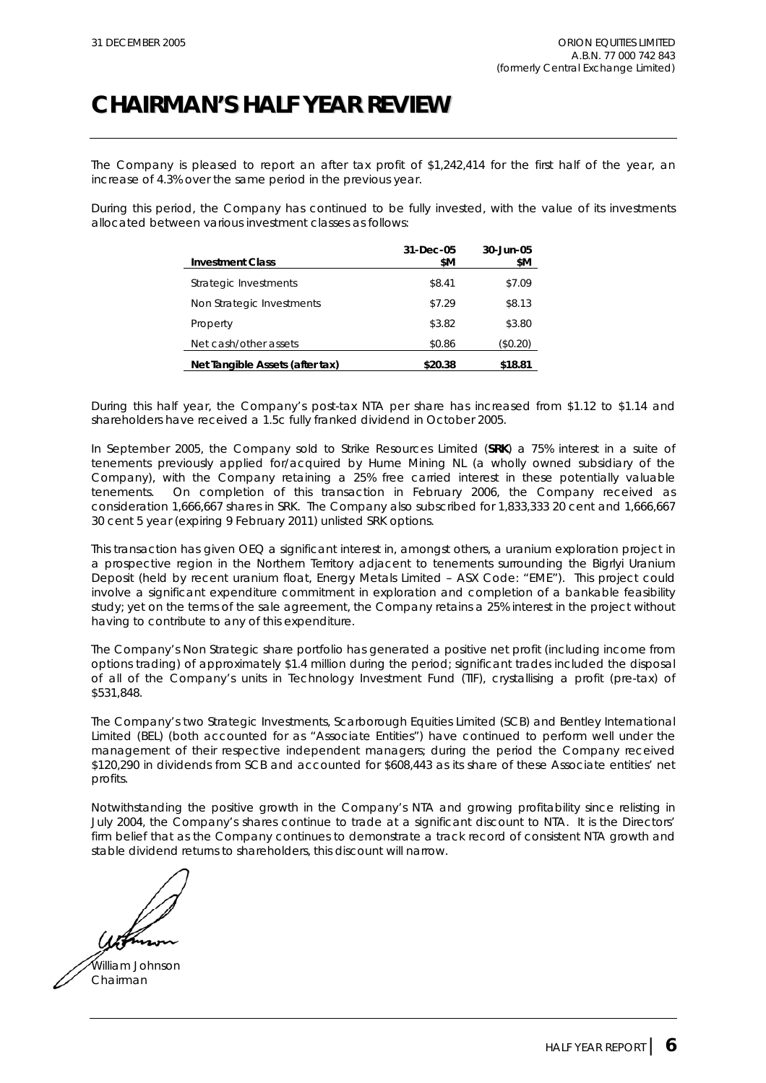# **CHAIRMAN'S HALF YEAR REVIEW**

The Company is pleased to report an after tax profit of \$1,242,414 for the first half of the year, an increase of 4.3% over the same period in the previous year.

During this period, the Company has continued to be fully invested, with the value of its investments allocated between various investment classes as follows:

| <b>Investment Class</b>         | 31-Dec-05<br>\$M | 30-Jun-05<br>\$Μ |
|---------------------------------|------------------|------------------|
| Strategic Investments           | \$8.41           | \$7.09           |
| Non Strategic Investments       | \$7.29           | \$8.13           |
| Property                        | \$3.82           | \$3.80           |
| Net cash/other assets           | \$0.86           | (\$0.20)         |
| Net Tangible Assets (after tax) | \$20.38          | \$18.81          |

During this half year, the Company's post-tax NTA per share has increased from \$1.12 to \$1.14 and shareholders have received a 1.5c fully franked dividend in October 2005.

In September 2005, the Company sold to Strike Resources Limited (**SRK**) a 75% interest in a suite of tenements previously applied for/acquired by Hume Mining NL (a wholly owned subsidiary of the Company), with the Company retaining a 25% free carried interest in these potentially valuable tenements. On completion of this transaction in February 2006, the Company received as consideration 1,666,667 shares in SRK. The Company also subscribed for 1,833,333 20 cent and 1,666,667 30 cent 5 year (expiring 9 February 2011) unlisted SRK options.

This transaction has given OEQ a significant interest in, amongst others, a uranium exploration project in a prospective region in the Northern Territory adjacent to tenements surrounding the Bigrlyi Uranium Deposit (held by recent uranium float, Energy Metals Limited – ASX Code: "EME"). This project could involve a significant expenditure commitment in exploration and completion of a bankable feasibility study; yet on the terms of the sale agreement, the Company retains a 25% interest in the project without having to contribute to any of this expenditure.

The Company's Non Strategic share portfolio has generated a positive net profit (including income from options trading) of approximately \$1.4 million during the period; significant trades included the disposal of all of the Company's units in Technology Investment Fund (TIF), crystallising a profit (pre-tax) of \$531,848.

The Company's two Strategic Investments, Scarborough Equities Limited (SCB) and Bentley International Limited (BEL) (both accounted for as "Associate Entities") have continued to perform well under the management of their respective independent managers; during the period the Company received \$120,290 in dividends from SCB and accounted for \$608,443 as its share of these Associate entities' net profits.

Notwithstanding the positive growth in the Company's NTA and growing profitability since relisting in July 2004, the Company's shares continue to trade at a significant discount to NTA. It is the Directors' firm belief that as the Company continues to demonstrate a track record of consistent NTA growth and stable dividend returns to shareholders, this discount will narrow.

William Johnson Chairman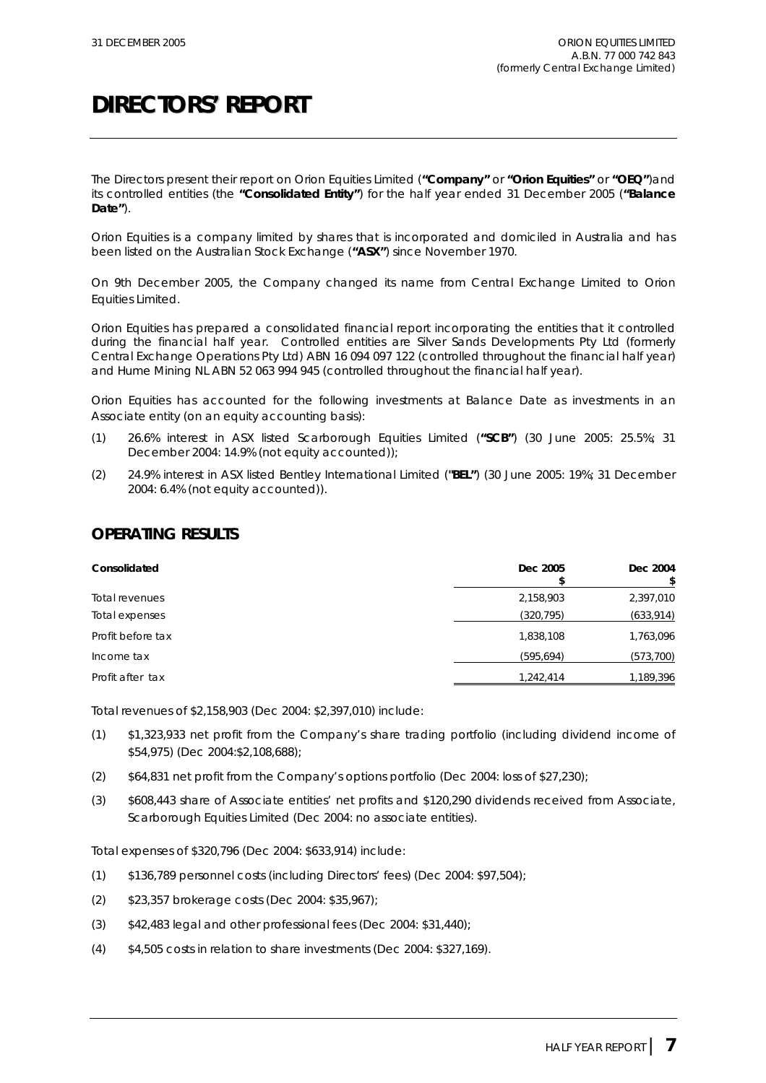The Directors present their report on Orion Equities Limited (**"Company"** or **"Orion Equities"** or **"OEQ"**)and its controlled entities (the **"Consolidated Entity"**) for the half year ended 31 December 2005 (**"Balance Date"**).

Orion Equities is a company limited by shares that is incorporated and domiciled in Australia and has been listed on the Australian Stock Exchange (**"ASX"**) since November 1970.

On 9th December 2005, the Company changed its name from Central Exchange Limited to Orion Equities Limited.

Orion Equities has prepared a consolidated financial report incorporating the entities that it controlled during the financial half year. Controlled entities are Silver Sands Developments Pty Ltd (formerly Central Exchange Operations Pty Ltd) ABN 16 094 097 122 (controlled throughout the financial half year) and Hume Mining NL ABN 52 063 994 945 (controlled throughout the financial half year).

Orion Equities has accounted for the following investments at Balance Date as investments in an Associate entity (on an equity accounting basis):

- (1) 26.6% interest in ASX listed Scarborough Equities Limited (**"SCB"**) (30 June 2005: 25.5%; 31 December 2004: 14.9% (not equity accounted));
- (2) 24.9% interest in ASX listed Bentley International Limited (**"BEL"**) (30 June 2005: 19%; 31 December 2004: 6.4% (not equity accounted)).

### **OPERATING RESULTS**

| Consolidated      | Dec 2005   | Dec 2004   |
|-------------------|------------|------------|
| Total revenues    | 2,158,903  | 2,397,010  |
| Total expenses    | (320, 795) | (633,914)  |
| Profit before tax | 1,838,108  | 1,763,096  |
| Income tax        | (595, 694) | (573, 700) |
| Profit after tax  | 1,242,414  | 1,189,396  |

Total revenues of \$2,158,903 (Dec 2004: \$2,397,010) include:

- (1) \$1,323,933 net profit from the Company's share trading portfolio (including dividend income of \$54,975) (Dec 2004:\$2,108,688);
- (2) \$64,831 net profit from the Company's options portfolio (Dec 2004: loss of \$27,230);
- (3) \$608,443 share of Associate entities' net profits and \$120,290 dividends received from Associate, Scarborough Equities Limited (Dec 2004: no associate entities).

Total expenses of \$320,796 (Dec 2004: \$633,914) include:

- (1) \$136,789 personnel costs (including Directors' fees) (Dec 2004: \$97,504);
- (2) \$23,357 brokerage costs (Dec 2004: \$35,967);
- $(3)$  \$42,483 legal and other professional fees (Dec 2004: \$31,440);
- (4) \$4,505 costs in relation to share investments (Dec 2004: \$327,169).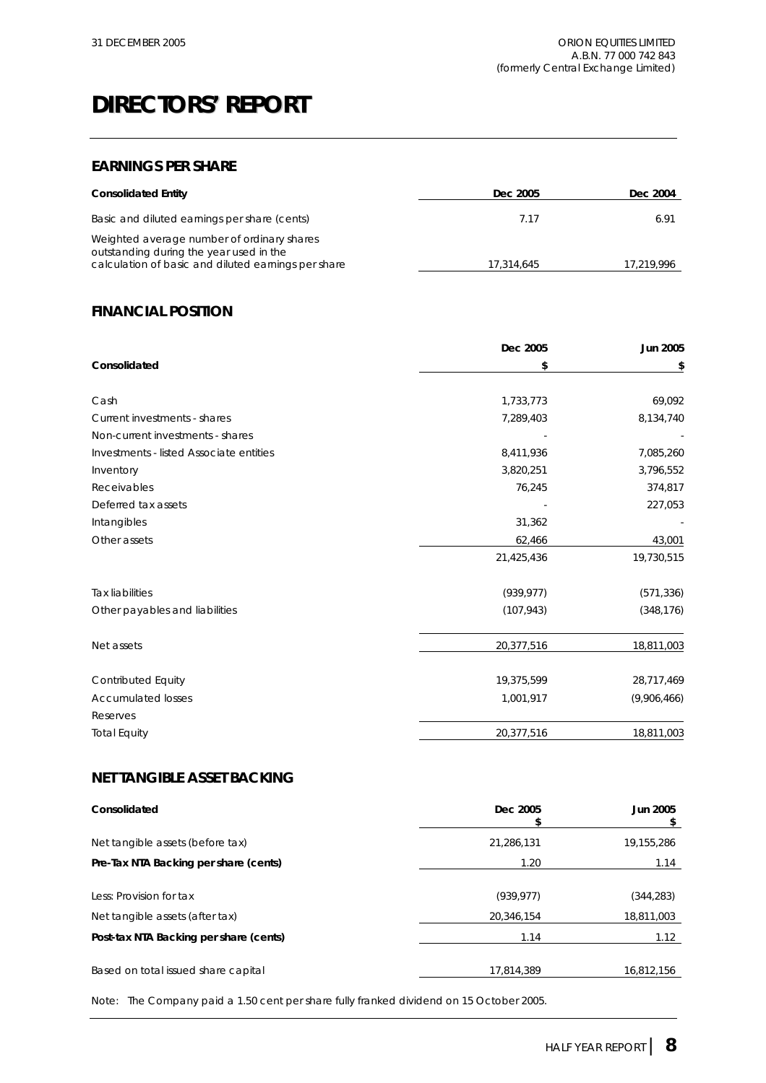### **EARNINGS PER SHARE**

| <b>Consolidated Entity</b>                                                                                                                   | Dec 2005   | Dec 2004   |
|----------------------------------------------------------------------------------------------------------------------------------------------|------------|------------|
| Basic and diluted earnings per share (cents)                                                                                                 | 7.17       | 6.91       |
| Weighted average number of ordinary shares<br>outstanding during the year used in the<br>calculation of basic and diluted earnings per share | 17.314.645 | 17,219,996 |

### **FINANCIAL POSITION**

|                                         | Dec 2005   | <b>Jun 2005</b> |
|-----------------------------------------|------------|-----------------|
| Consolidated                            | \$         | \$              |
|                                         |            |                 |
| Cash                                    | 1,733,773  | 69,092          |
| Current investments - shares            | 7,289,403  | 8,134,740       |
| Non-current investments - shares        |            |                 |
| Investments - listed Associate entities | 8,411,936  | 7,085,260       |
| Inventory                               | 3,820,251  | 3,796,552       |
| Receivables                             | 76,245     | 374,817         |
| Deferred tax assets                     |            | 227,053         |
| Intangibles                             | 31,362     |                 |
| Other assets                            | 62,466     | 43,001          |
|                                         | 21,425,436 | 19,730,515      |
| <b>Tax liabilities</b>                  | (939, 977) | (571, 336)      |
| Other payables and liabilities          | (107, 943) | (348, 176)      |
| Net assets                              | 20,377,516 | 18,811,003      |
| Contributed Equity                      | 19,375,599 | 28,717,469      |
| <b>Accumulated losses</b>               | 1,001,917  | (9,906,466)     |
| Reserves                                |            |                 |
| <b>Total Equity</b>                     | 20,377,516 | 18,811,003      |

### **NET TANGIBLE ASSET BACKING**

| Consolidated                                               | Dec 2005                 | Jun 2005                 |
|------------------------------------------------------------|--------------------------|--------------------------|
| Net tangible assets (before tax)                           | 21,286,131               | 19,155,286               |
| Pre-Tax NTA Backing per share (cents)                      | 1.20                     | 1.14                     |
| Less: Provision for tax<br>Net tangible assets (after tax) | (939, 977)<br>20.346.154 | (344, 283)<br>18,811,003 |
| Post-tax NTA Backing per share (cents)                     | 1.14                     | 1.12                     |
| Based on total issued share capital                        | 17,814,389               | 16,812,156               |

Note: The Company paid a 1.50 cent per share fully franked dividend on 15 October 2005.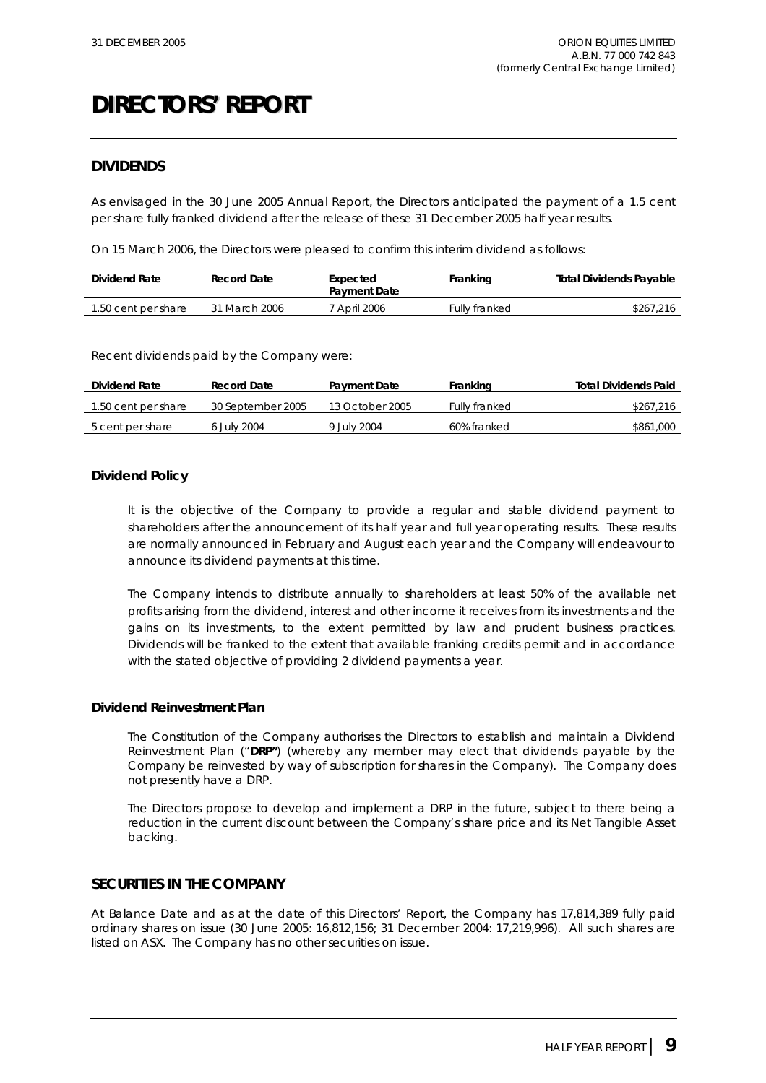### **DIVIDENDS**

As envisaged in the 30 June 2005 Annual Report, the Directors anticipated the payment of a 1.5 cent per share fully franked dividend after the release of these 31 December 2005 half year results.

On 15 March 2006, the Directors were pleased to confirm this interim dividend as follows:

| Dividend Rate       | Record Date   | Expected<br><b>Payment Date</b> | Franking             | <b>Total Dividends Payable</b> |
|---------------------|---------------|---------------------------------|----------------------|--------------------------------|
| 1.50 cent per share | 31 March 2006 | * April 2006                    | <b>Fully franked</b> | \$267,216                      |

Recent dividends paid by the Company were:

| Dividend Rate<br>Record Date |                   | <b>Payment Date</b> | Franking             | <b>Total Dividends Paid</b> |  |
|------------------------------|-------------------|---------------------|----------------------|-----------------------------|--|
| 1.50 cent per share          | 30 September 2005 | 13 October 2005     | <b>Fully franked</b> | \$267,216                   |  |
| 5 cent per share             | 6 July 2004       | 9 July 2004         | 60% franked          | \$861,000                   |  |

### **Dividend Policy**

It is the objective of the Company to provide a regular and stable dividend payment to shareholders after the announcement of its half year and full year operating results. These results are normally announced in February and August each year and the Company will endeavour to announce its dividend payments at this time.

The Company intends to distribute annually to shareholders at least 50% of the available net profits arising from the dividend, interest and other income it receives from its investments and the gains on its investments, to the extent permitted by law and prudent business practices. Dividends will be franked to the extent that available franking credits permit and in accordance with the stated objective of providing 2 dividend payments a year.

### **Dividend Reinvestment Plan**

The Constitution of the Company authorises the Directors to establish and maintain a Dividend Reinvestment Plan ("**DRP"**) (whereby any member may elect that dividends payable by the Company be reinvested by way of subscription for shares in the Company). The Company does not presently have a DRP.

The Directors propose to develop and implement a DRP in the future, subject to there being a reduction in the current discount between the Company's share price and its Net Tangible Asset backing.

### **SECURITIES IN THE COMPANY**

At Balance Date and as at the date of this Directors' Report, the Company has 17,814,389 fully paid ordinary shares on issue (30 June 2005: 16,812,156; 31 December 2004: 17,219,996). All such shares are listed on ASX. The Company has no other securities on issue.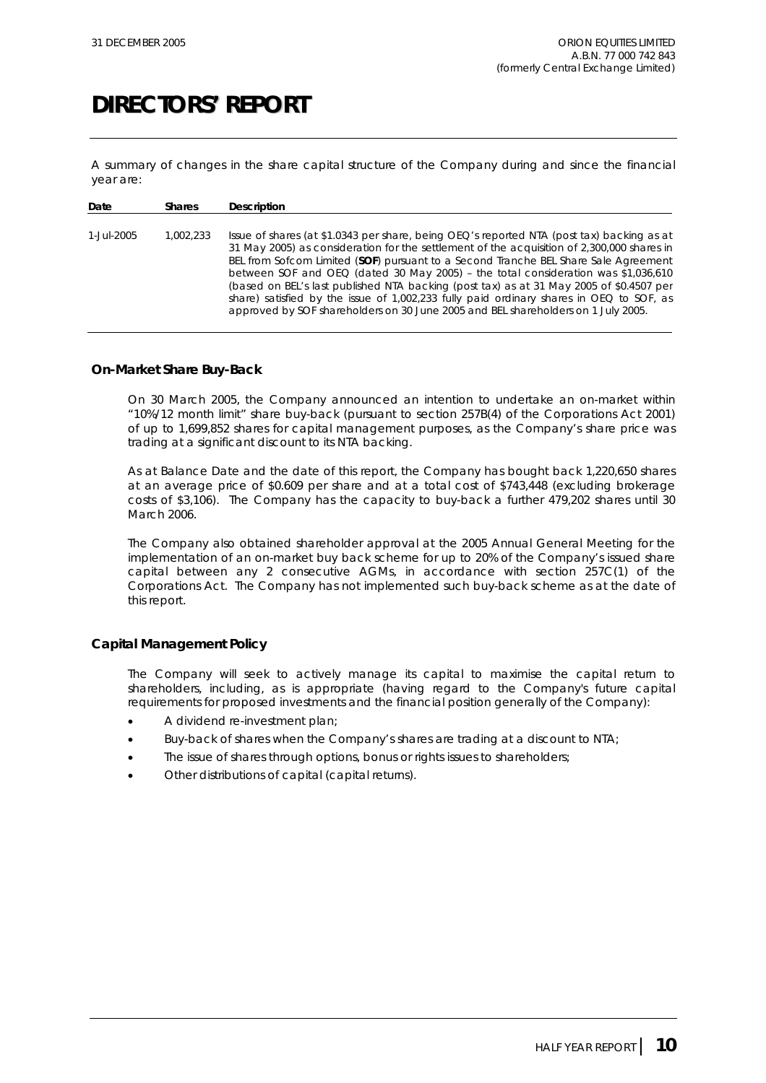A summary of changes in the share capital structure of the Company during and since the financial year are:

| Date       | <b>Shares</b> | Description                                                                                                                                                                                                                                                                                                                                                                                                                                                                                                                                                                                                                                         |
|------------|---------------|-----------------------------------------------------------------------------------------------------------------------------------------------------------------------------------------------------------------------------------------------------------------------------------------------------------------------------------------------------------------------------------------------------------------------------------------------------------------------------------------------------------------------------------------------------------------------------------------------------------------------------------------------------|
| 1-Jul-2005 | 1.002.233     | Issue of shares (at \$1.0343 per share, being $OEO'$ s reported NTA (post tax) backing as at<br>31 May 2005) as consideration for the settlement of the acquisition of 2,300,000 shares in<br>BEL from Sofcom Limited (SOF) pursuant to a Second Tranche BEL Share Sale Agreement<br>between SOF and OEQ (dated 30 May 2005) - the total consideration was \$1,036,610<br>(based on BEL's last published NTA backing (post tax) as at 31 May 2005 of \$0.4507 per<br>share) satisfied by the issue of $1,002,233$ fully paid ordinary shares in OEQ to SOF, as<br>approved by SOF shareholders on 30 June 2005 and BEL shareholders on 1 July 2005. |

### **On-Market Share Buy-Back**

On 30 March 2005, the Company announced an intention to undertake an on-market within "10%/12 month limit" share buy-back (pursuant to section 257B(4) of the Corporations Act 2001) of up to 1,699,852 shares for capital management purposes, as the Company's share price was trading at a significant discount to its NTA backing.

As at Balance Date and the date of this report, the Company has bought back 1,220,650 shares at an average price of \$0.609 per share and at a total cost of \$743,448 (excluding brokerage costs of \$3,106). The Company has the capacity to buy-back a further 479,202 shares until 30 March 2006.

The Company also obtained shareholder approval at the 2005 Annual General Meeting for the implementation of an on-market buy back scheme for up to 20% of the Company's issued share capital between any 2 consecutive AGMs, in accordance with section 257C(1) of the Corporations Act. The Company has not implemented such buy-back scheme as at the date of this report.

### **Capital Management Policy**

The Company will seek to actively manage its capital to maximise the capital return to shareholders, including, as is appropriate (having regard to the Company's future capital requirements for proposed investments and the financial position generally of the Company):

- A dividend re-investment plan;
- Buy-back of shares when the Company's shares are trading at a discount to NTA;
- The issue of shares through options, bonus or rights issues to shareholders;
- Other distributions of capital (capital returns).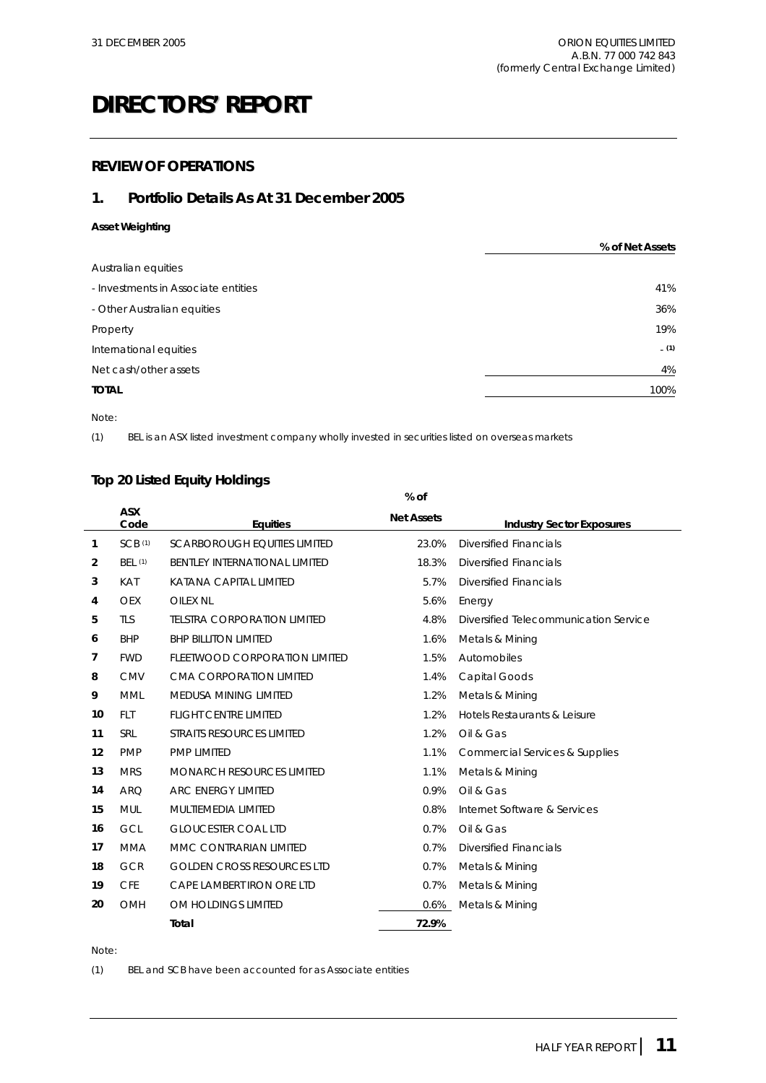### **REVIEW OF OPERATIONS**

### **1. Portfolio Details As At 31 December 2005**

### **Asset Weighting**

|                                     | % of Net Assets |
|-------------------------------------|-----------------|
| Australian equities                 |                 |
| - Investments in Associate entities | 41%             |
| - Other Australian equities         | 36%             |
| Property                            | 19%             |
| International equities              | (1)             |
| Net cash/other assets               | 4%              |
| <b>TOTAL</b>                        | 100%            |

Note:

(1) BEL is an ASX listed investment company wholly invested in securities listed on overseas markets

### **Top 20 Listed Equity Holdings**

|                |                    |                                      | % of              |                                       |
|----------------|--------------------|--------------------------------------|-------------------|---------------------------------------|
|                | <b>ASX</b><br>Code | <b>Equities</b>                      | <b>Net Assets</b> | <b>Industry Sector Exposures</b>      |
| 1              | SCB(1)             | <b>SCARBOROUGH EQUITIES LIMITED</b>  | 23.0%             | <b>Diversified Financials</b>         |
| $\overline{2}$ | <b>BEL (1)</b>     | <b>BENTLEY INTERNATIONAL LIMITED</b> | 18.3%             | <b>Diversified Financials</b>         |
| 3              | <b>KAT</b>         | KATANA CAPITAL LIMITED               | 5.7%              | <b>Diversified Financials</b>         |
| 4              | <b>OEX</b>         | OILEX NL                             | 5.6%              | Energy                                |
| 5              | <b>TLS</b>         | <b>TELSTRA CORPORATION LIMITED</b>   | 4.8%              | Diversified Telecommunication Service |
| 6              | <b>BHP</b>         | <b>BHP BILLITON LIMITED</b>          | 1.6%              | Metals & Mining                       |
| 7              | <b>FWD</b>         | FLEETWOOD CORPORATION LIMITED        | 1.5%              | Automobiles                           |
| 8              | <b>CMV</b>         | CMA CORPORATION LIMITED              | 1.4%              | Capital Goods                         |
| 9              | <b>MML</b>         | <b>MEDUSA MINING LIMITED</b>         | 1.2%              | Metals & Mining                       |
| 10             | <b>FLT</b>         | <b>FLIGHT CENTRE LIMITED</b>         | 1.2%              | Hotels Restaurants & Leisure          |
| 11             | <b>SRL</b>         | STRAITS RESOURCES LIMITED            | 1.2%              | Oil & Gas                             |
| 12             | <b>PMP</b>         | PMP LIMITED                          | 1.1%              | Commercial Services & Supplies        |
| 13             | <b>MRS</b>         | <b>MONARCH RESOURCES LIMITED</b>     | 1.1%              | Metals & Mining                       |
| 14             | <b>ARQ</b>         | <b>ARC ENERGY LIMITED</b>            | 0.9%              | Oil & Gas                             |
| 15             | <b>MUL</b>         | MULTIEMEDIA LIMITED                  | 0.8%              | Internet Software & Services          |
| 16             | GCL                | <b>GLOUCESTER COAL LTD</b>           | 0.7%              | Oil & Gas                             |
| 17             | <b>MMA</b>         | MMC CONTRARIAN LIMITED               | 0.7%              | <b>Diversified Financials</b>         |
| 18             | <b>GCR</b>         | <b>GOLDEN CROSS RESOURCES LTD</b>    | 0.7%              | Metals & Mining                       |
| 19             | <b>CFE</b>         | CAPE LAMBERT IRON ORE LTD            | 0.7%              | Metals & Mining                       |
| 20             | <b>OMH</b>         | OM HOLDINGS LIMITED                  | 0.6%              | Metals & Mining                       |
|                |                    | Total                                | 72.9%             |                                       |

Note:

(1) BEL and SCB have been accounted for as Associate entities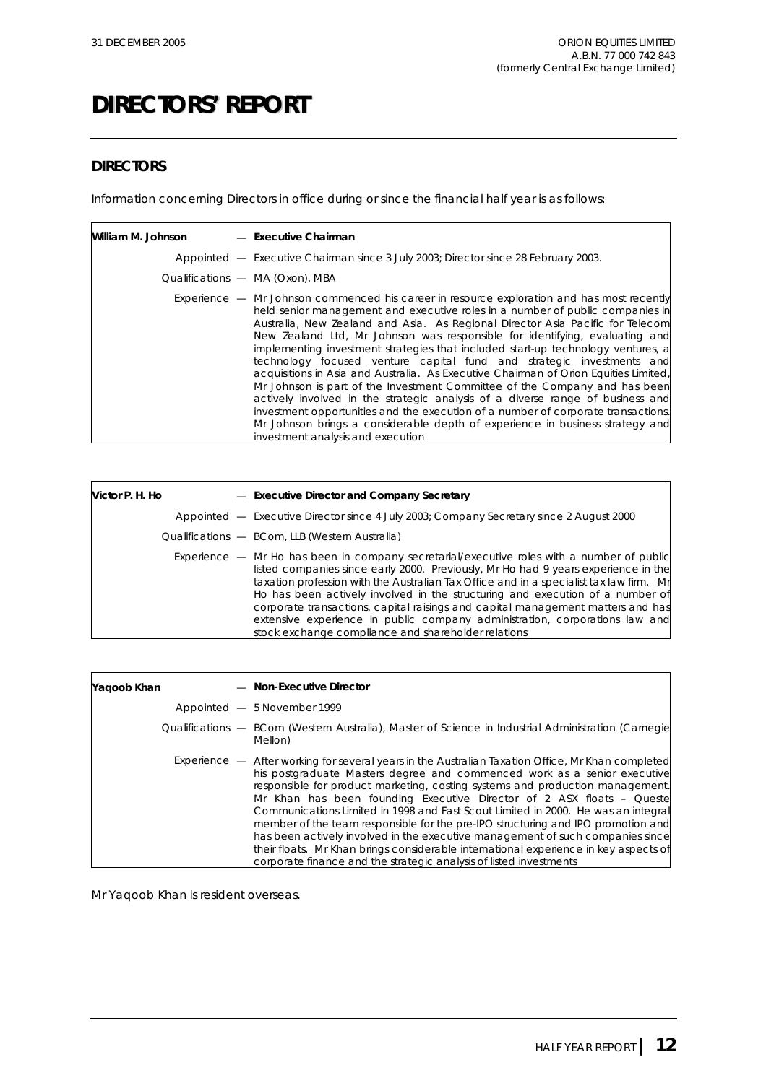### **DIRECTORS**

Information concerning Directors in office during or since the financial half year is as follows:

| William M. Johnson | - Executive Chairman                                                                                                                                                                                                                                                                                                                                                                                                                                                                                                                                                                                                                                                                                                                                                                                                                                                                                                                                                                  |
|--------------------|---------------------------------------------------------------------------------------------------------------------------------------------------------------------------------------------------------------------------------------------------------------------------------------------------------------------------------------------------------------------------------------------------------------------------------------------------------------------------------------------------------------------------------------------------------------------------------------------------------------------------------------------------------------------------------------------------------------------------------------------------------------------------------------------------------------------------------------------------------------------------------------------------------------------------------------------------------------------------------------|
|                    | Appointed - Executive Chairman since 3 July 2003; Director since 28 February 2003.                                                                                                                                                                                                                                                                                                                                                                                                                                                                                                                                                                                                                                                                                                                                                                                                                                                                                                    |
|                    | Qualifications - MA (Oxon), MBA                                                                                                                                                                                                                                                                                                                                                                                                                                                                                                                                                                                                                                                                                                                                                                                                                                                                                                                                                       |
|                    | <i>Experience</i> $-$ Mr Johnson commenced his career in resource exploration and has most recently<br>held senior management and executive roles in a number of public companies in<br>Australia, New Zealand and Asia. As Regional Director Asia Pacific for Telecom<br>New Zealand Ltd, Mr Johnson was responsible for identifying, evaluating and<br>implementing investment strategies that included start-up technology ventures, a<br>technology focused venture capital fund and strategic investments and<br>acquisitions in Asia and Australia. As Executive Chairman of Orion Equities Limited,<br>Mr Johnson is part of the Investment Committee of the Company and has been<br>actively involved in the strategic analysis of a diverse range of business and<br>investment opportunities and the execution of a number of corporate transactions.<br>Mr Johnson brings a considerable depth of experience in business strategy and<br>investment analysis and execution |

| Victor P. H. Ho | - Executive Director and Company Secretary                                                                                                                                                                                                                                                                                                                                                                                                                                                                                                                                                   |
|-----------------|----------------------------------------------------------------------------------------------------------------------------------------------------------------------------------------------------------------------------------------------------------------------------------------------------------------------------------------------------------------------------------------------------------------------------------------------------------------------------------------------------------------------------------------------------------------------------------------------|
|                 | Appointed - Executive Director since 4 July 2003; Company Secretary since 2 August 2000                                                                                                                                                                                                                                                                                                                                                                                                                                                                                                      |
|                 | Qualifications - BCom, LLB (Western Australia)                                                                                                                                                                                                                                                                                                                                                                                                                                                                                                                                               |
|                 | <i>Experience</i> — Mr Ho has been in company secretarial/executive roles with a number of public<br>listed companies since early 2000. Previously, Mr Ho had 9 years experience in the<br>taxation profession with the Australian Tax Office and in a specialist tax law firm. Mr<br>Ho has been actively involved in the structuring and execution of a number of<br>corporate transactions, capital raisings and capital management matters and has<br>extensive experience in public company administration, corporations law and<br>stock exchange compliance and shareholder relations |

| Yaqoob Khan | - Non-Executive Director                                                                                                                                                                                                                                                                                                                                                                                                                                                                                                                                                                                                                                                                                                                                         |
|-------------|------------------------------------------------------------------------------------------------------------------------------------------------------------------------------------------------------------------------------------------------------------------------------------------------------------------------------------------------------------------------------------------------------------------------------------------------------------------------------------------------------------------------------------------------------------------------------------------------------------------------------------------------------------------------------------------------------------------------------------------------------------------|
|             | Appointed - 5 November 1999                                                                                                                                                                                                                                                                                                                                                                                                                                                                                                                                                                                                                                                                                                                                      |
|             | Qualifications — BCom (Western Australia), Master of Science in Industrial Administration (Carnegie<br>Mellon)                                                                                                                                                                                                                                                                                                                                                                                                                                                                                                                                                                                                                                                   |
|             | Experience — After working for several years in the Australian Taxation Office, Mr Khan completed<br>his postgraduate Masters degree and commenced work as a senior executive<br>responsible for product marketing, costing systems and production management.<br>Mr Khan has been founding Executive Director of 2 ASX floats – Queste<br>Communications Limited in 1998 and Fast Scout Limited in 2000. He was an integral<br>member of the team responsible for the pre-IPO structuring and IPO promotion and<br>has been actively involved in the executive management of such companies since<br>their floats. Mr Khan brings considerable international experience in key aspects of<br>corporate finance and the strategic analysis of listed investments |

Mr Yaqoob Khan is resident overseas.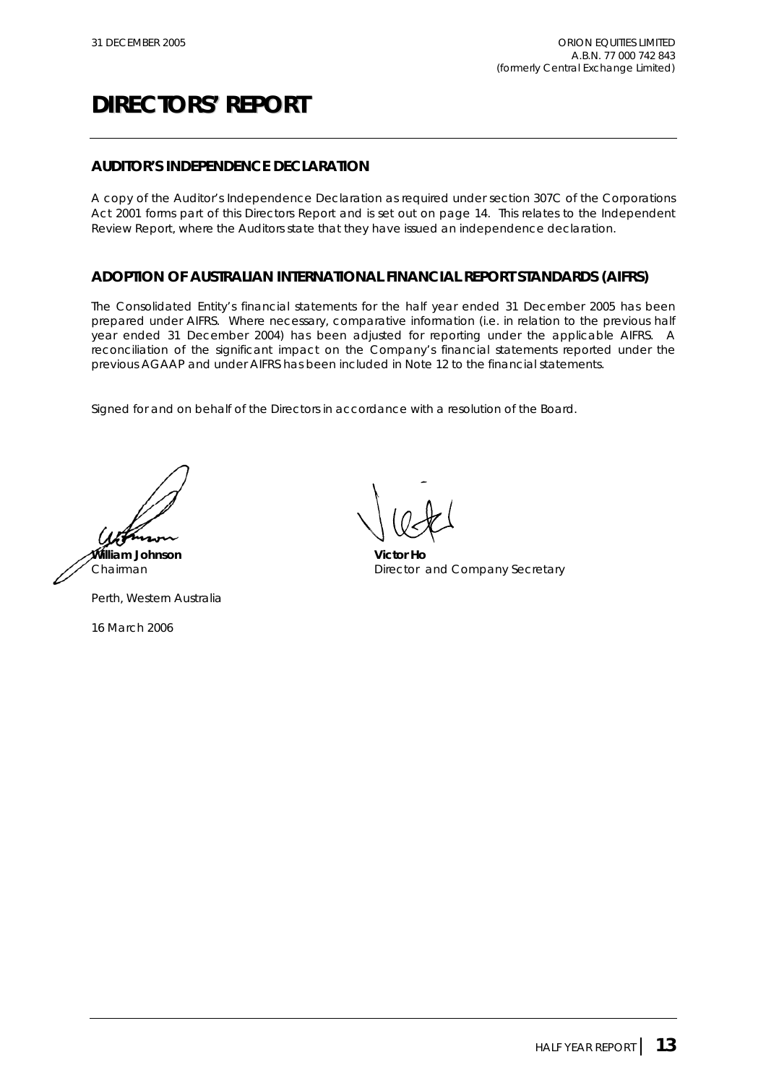### **AUDITOR'S INDEPENDENCE DECLARATION**

A copy of the Auditor's Independence Declaration as required under section 307C of the Corporations Act 2001 forms part of this Directors Report and is set out on page 14. This relates to the Independent Review Report, where the Auditors state that they have issued an independence declaration.

### **ADOPTION OF AUSTRALIAN INTERNATIONAL FINANCIAL REPORT STANDARDS (AIFRS)**

The Consolidated Entity's financial statements for the half year ended 31 December 2005 has been prepared under AIFRS. Where necessary, comparative information (i.e. in relation to the previous half year ended 31 December 2004) has been adjusted for reporting under the applicable AIFRS. A reconciliation of the significant impact on the Company's financial statements reported under the previous AGAAP and under AIFRS has been included in Note 12 to the financial statements.

Signed for and on behalf of the Directors in accordance with a resolution of the Board.

**William Johnson Victor Ho**

Perth, Western Australia

16 March 2006

Chairman **Director and Company Secretary**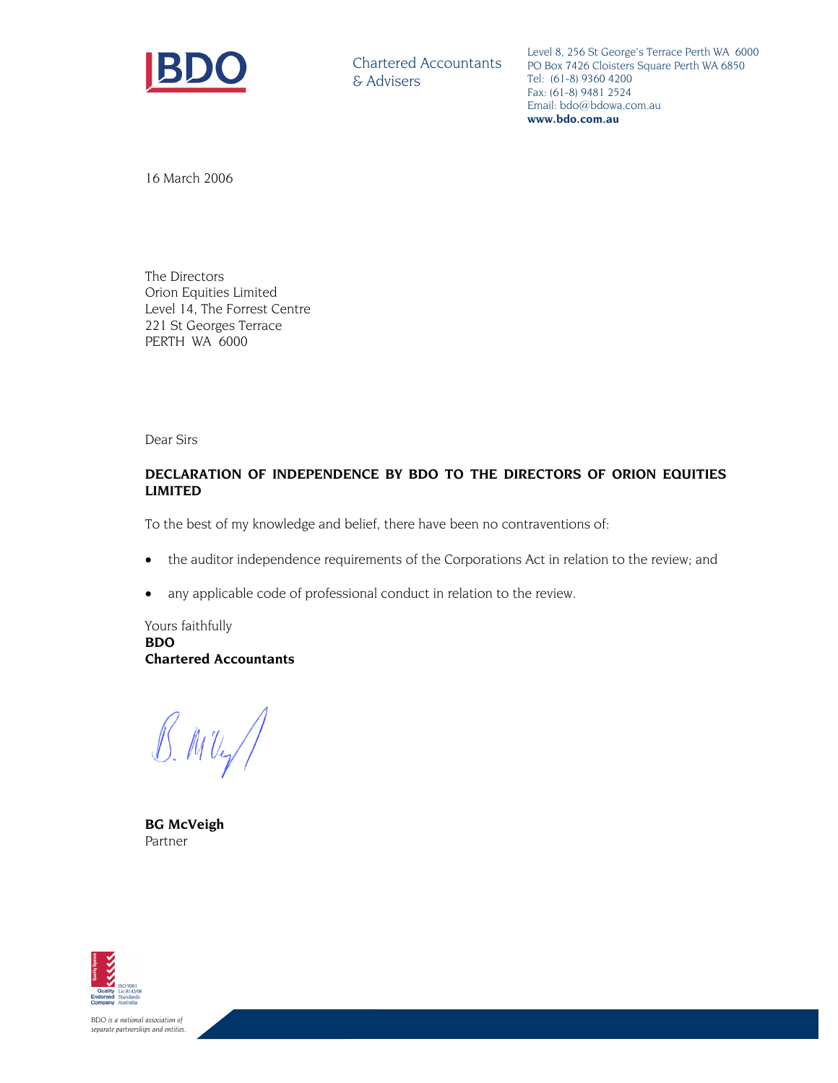

Chartered Accountants & Advisers

Level 8, 256 St George's Terrace Perth WA 6000 PO Box 7426 Cloisters Square Perth WA 6850 Tel: (61-8) 9360 4200 Fax: (61-8) 9481 2524 Email: bdo@bdowa.com.au **www.bdo.com.au** 

16 March 2006

The Directors Orion Equities Limited Level 14, The Forrest Centre 221 St Georges Terrace PERTH WA 6000

Dear Sirs

### **DECLARATION OF INDEPENDENCE BY BDO TO THE DIRECTORS OF ORION EQUITIES LIMITED**

To the best of my knowledge and belief, there have been no contraventions of:

- the auditor independence requirements of the Corporations Act in relation to the review; and
- any applicable code of professional conduct in relation to the review.

Yours faithfully **BDO Chartered Accountants** 

 $B.MU$ 

**BG McVeigh**  Partner



*BDO is a national association of separate partnerships and entities.*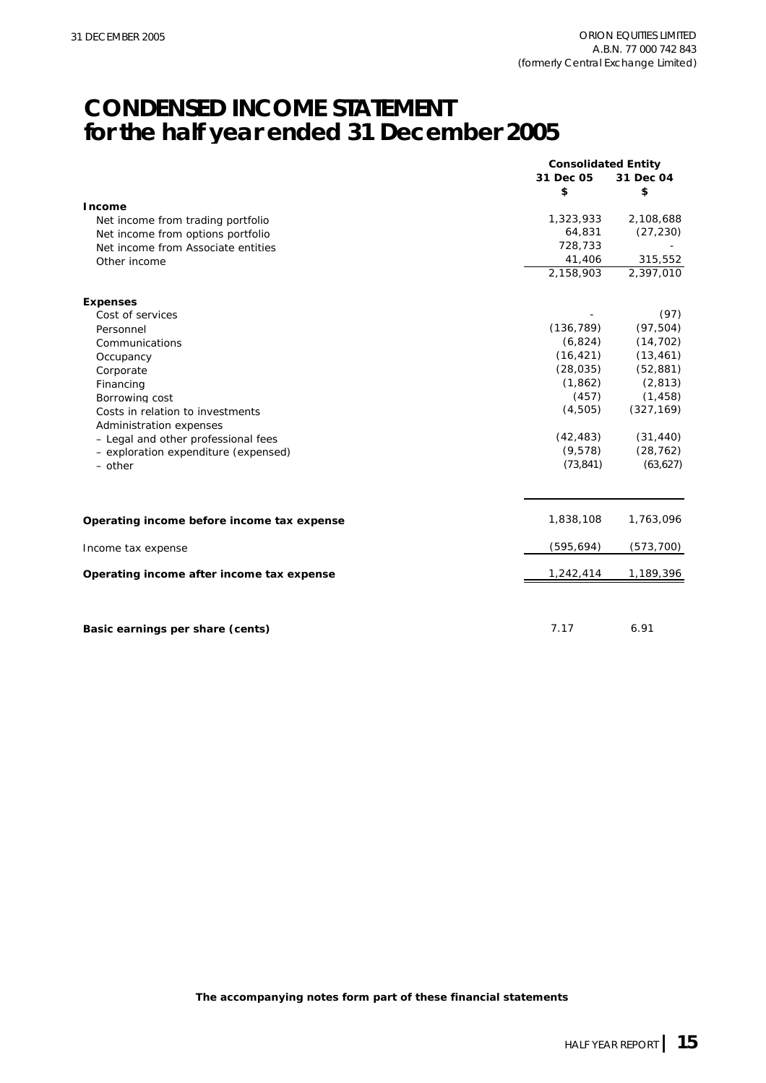## **CONDENSED INCOME STATEMENT for the half year ended 31 December 2005**

|                                            | <b>Consolidated Entity</b> |            |
|--------------------------------------------|----------------------------|------------|
|                                            | 31 Dec 05                  | 31 Dec 04  |
|                                            | \$                         | \$         |
| Income                                     |                            |            |
| Net income from trading portfolio          | 1,323,933                  | 2,108,688  |
| Net income from options portfolio          | 64,831                     | (27, 230)  |
| Net income from Associate entities         | 728,733                    |            |
| Other income                               | 41,406                     | 315,552    |
|                                            | 2,158,903                  | 2,397,010  |
| <b>Expenses</b>                            |                            |            |
| Cost of services                           |                            | (97)       |
| Personnel                                  | (136, 789)                 | (97, 504)  |
| Communications                             | (6,824)                    | (14, 702)  |
| Occupancy                                  | (16, 421)                  | (13, 461)  |
| Corporate                                  | (28, 035)                  | (52, 881)  |
| Financing                                  | (1,862)                    | (2, 813)   |
| Borrowing cost                             | (457)                      | (1, 458)   |
| Costs in relation to investments           | (4,505)                    | (327, 169) |
| Administration expenses                    |                            |            |
| - Legal and other professional fees        | (42, 483)                  | (31, 440)  |
| - exploration expenditure (expensed)       | (9,578)                    | (28, 762)  |
| $-$ other                                  | (73, 841)                  | (63, 627)  |
| Operating income before income tax expense | 1,838,108                  | 1,763,096  |
| Income tax expense                         | (595, 694)                 | (573, 700) |
| Operating income after income tax expense  | 1,242,414                  | 1,189,396  |
|                                            |                            |            |
| Basic earnings per share (cents)           | 7.17                       | 6.91       |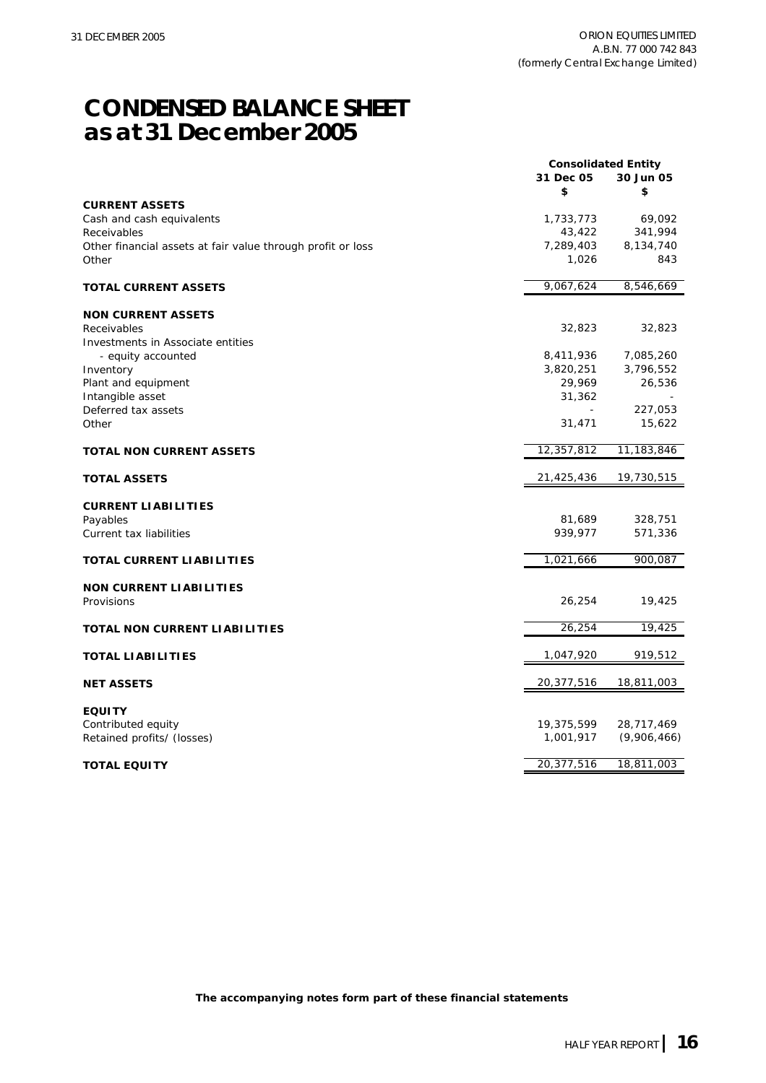## **CONDENSED BALANCE SHEET as at 31 December 2005**

|                                                             | <b>Consolidated Entity</b> |                   |
|-------------------------------------------------------------|----------------------------|-------------------|
|                                                             | 31 Dec 05                  | 30 Jun 05         |
| <b>CURRENT ASSETS</b>                                       | \$                         | \$                |
| Cash and cash equivalents                                   | 1,733,773                  | 69,092            |
| Receivables                                                 | 43,422                     | 341,994           |
| Other financial assets at fair value through profit or loss | 7,289,403                  | 8,134,740         |
| Other                                                       | 1,026                      | 843               |
| <b>TOTAL CURRENT ASSETS</b>                                 | 9,067,624                  | 8,546,669         |
| <b>NON CURRENT ASSETS</b>                                   |                            |                   |
| Receivables                                                 | 32,823                     | 32,823            |
| Investments in Associate entities                           |                            |                   |
| - equity accounted                                          | 8,411,936                  | 7,085,260         |
| Inventory                                                   | 3,820,251                  | 3,796,552         |
| Plant and equipment                                         | 29,969                     | 26,536            |
| Intangible asset                                            | 31,362                     |                   |
| Deferred tax assets<br>Other                                | $\blacksquare$<br>31,471   | 227,053<br>15,622 |
|                                                             |                            |                   |
| <b>TOTAL NON CURRENT ASSETS</b>                             | 12,357,812                 | 11,183,846        |
| <b>TOTAL ASSETS</b>                                         | 21,425,436                 | 19,730,515        |
| <b>CURRENT LIABILITIES</b>                                  |                            |                   |
| Payables                                                    | 81,689                     | 328,751           |
| Current tax liabilities                                     | 939,977                    | 571,336           |
| TOTAL CURRENT LIABILITIES                                   | 1,021,666                  | 900,087           |
| <b>NON CURRENT LIABILITIES</b>                              |                            |                   |
| Provisions                                                  | 26,254                     | 19,425            |
|                                                             |                            |                   |
| <b>TOTAL NON CURRENT LIABILITIES</b>                        | 26,254                     | 19,425            |
| <b>TOTAL LIABILITIES</b>                                    | 1,047,920                  | 919,512           |
| <b>NET ASSETS</b>                                           | 20,377,516                 | 18,811,003        |
| <b>EQUITY</b>                                               |                            |                   |
| Contributed equity                                          | 19,375,599                 | 28,717,469        |
| Retained profits/ (losses)                                  | 1,001,917                  | (9,906,466)       |
|                                                             |                            |                   |
| <b>TOTAL EQUITY</b>                                         | 20,377,516                 | 18,811,003        |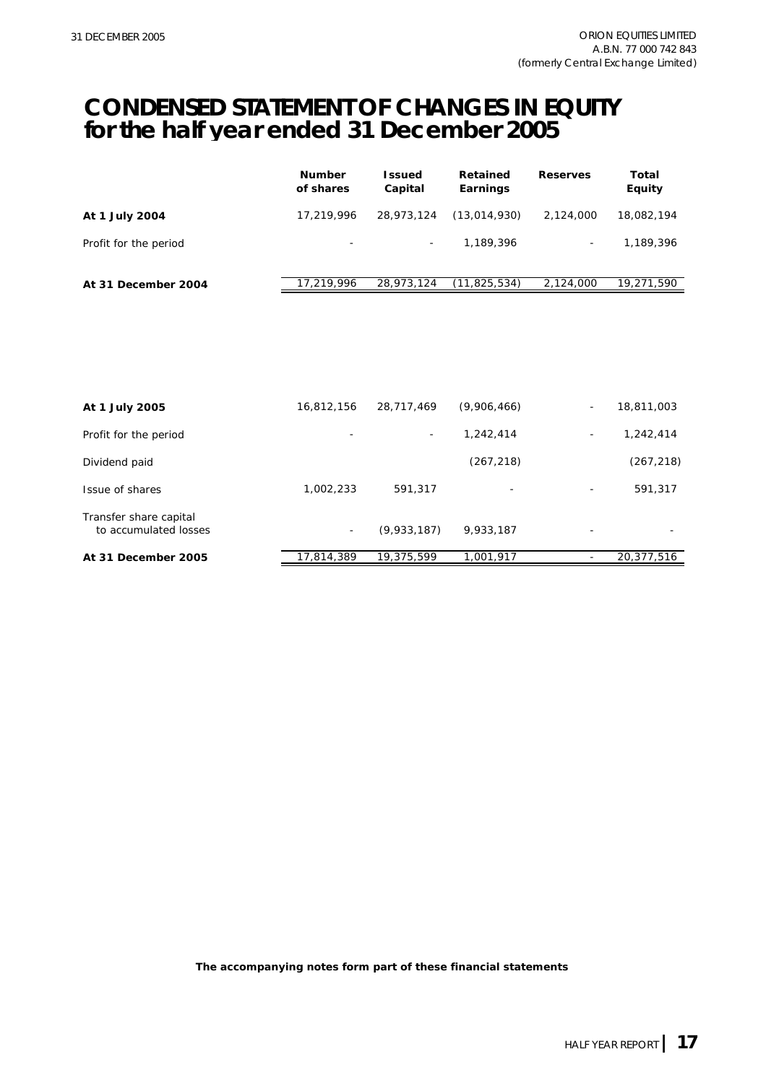### **CONDENSED STATEMENT OF CHANGES IN EQUITY for the half year ended 31 December 2005**

|                       | <b>Number</b><br>of shares | l ssued<br>Capital       | Retained<br>Earnings | <b>Reserves</b>          | Total<br>Equity |
|-----------------------|----------------------------|--------------------------|----------------------|--------------------------|-----------------|
| At 1 July 2004        | 17,219,996                 | 28,973,124               | (13,014,930)         | 2,124,000                | 18,082,194      |
| Profit for the period | $\overline{\phantom{0}}$   | $\overline{\phantom{a}}$ | 1,189,396            | $\overline{\phantom{a}}$ | 1.189.396       |
| At 31 December 2004   | 17.219.996                 | 28,973,124               | (11, 825, 534)       | 2,124,000                | 19,271,590      |

| At 1 July 2005                                  | 16,812,156 | 28,717,469               | (9,906,466) | $\overline{\phantom{a}}$ | 18,811,003 |
|-------------------------------------------------|------------|--------------------------|-------------|--------------------------|------------|
| Profit for the period                           |            | $\overline{\phantom{a}}$ | 1,242,414   | -                        | 1,242,414  |
| Dividend paid                                   |            |                          | (267, 218)  |                          | (267, 218) |
| Issue of shares                                 | 1,002,233  | 591,317                  | -           | $\overline{\phantom{a}}$ | 591,317    |
| Transfer share capital<br>to accumulated losses | $\sim$     | (9,933,187)              | 9,933,187   | $\overline{\phantom{0}}$ |            |
| At 31 December 2005                             | 17,814,389 | 19,375,599               | 1,001,917   |                          | 20,377,516 |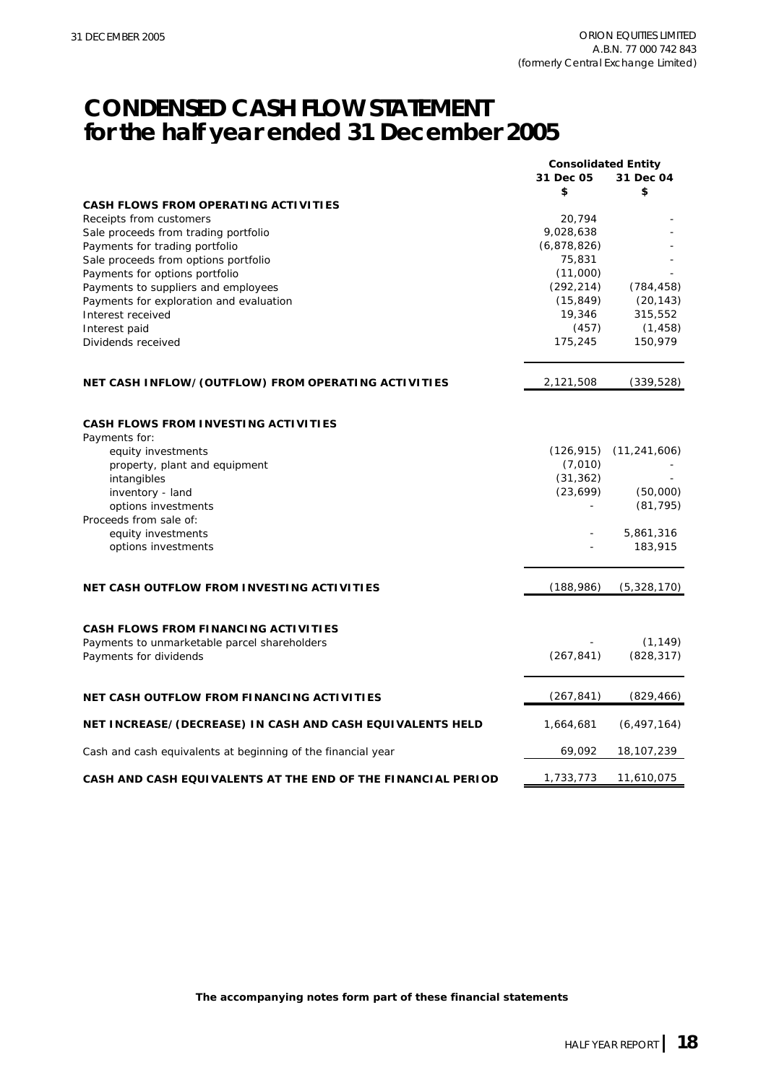## **CONDENSED CASH FLOW STATEMENT for the half year ended 31 December 2005**

|                                                              | <b>Consolidated Entity</b> |                |
|--------------------------------------------------------------|----------------------------|----------------|
|                                                              | 31 Dec 05                  | 31 Dec 04      |
|                                                              | \$                         | \$             |
| <b>CASH FLOWS FROM OPERATING ACTIVITIES</b>                  |                            |                |
| Receipts from customers                                      | 20,794                     |                |
| Sale proceeds from trading portfolio                         | 9,028,638                  |                |
| Payments for trading portfolio                               | (6,878,826)                |                |
| Sale proceeds from options portfolio                         | 75,831                     |                |
| Payments for options portfolio                               | (11,000)                   |                |
| Payments to suppliers and employees                          | (292, 214)                 | (784, 458)     |
| Payments for exploration and evaluation                      | (15, 849)                  | (20, 143)      |
| Interest received                                            | 19,346                     | 315,552        |
| Interest paid                                                | (457)                      | (1, 458)       |
| Dividends received                                           | 175,245                    | 150,979        |
|                                                              |                            |                |
| NET CASH INFLOW/(OUTFLOW) FROM OPERATING ACTIVITIES          | 2,121,508                  | (339, 528)     |
|                                                              |                            |                |
|                                                              |                            |                |
| <b>CASH FLOWS FROM INVESTING ACTIVITIES</b>                  |                            |                |
| Payments for:                                                |                            |                |
| equity investments                                           | (126, 915)                 | (11, 241, 606) |
| property, plant and equipment                                | (7,010)                    |                |
| intangibles                                                  | (31, 362)                  |                |
| inventory - land                                             | (23, 699)                  | (50,000)       |
| options investments                                          |                            | (81, 795)      |
| Proceeds from sale of:                                       |                            |                |
| equity investments                                           |                            | 5,861,316      |
| options investments                                          |                            | 183,915        |
|                                                              |                            |                |
| NET CASH OUTFLOW FROM INVESTING ACTIVITIES                   | (188, 986)                 | (5,328,170)    |
|                                                              |                            |                |
| CASH FLOWS FROM FINANCING ACTIVITIES                         |                            |                |
| Payments to unmarketable parcel shareholders                 |                            | (1, 149)       |
| Payments for dividends                                       | (267, 841)                 | (828, 317)     |
|                                                              |                            |                |
| <b>NET CASH OUTFLOW FROM FINANCING ACTIVITIES</b>            | (267, 841)                 | (829, 466)     |
|                                                              |                            |                |
| NET INCREASE/(DECREASE) IN CASH AND CASH EQUIVALENTS HELD    | 1,664,681                  | (6, 497, 164)  |
| Cash and cash equivalents at beginning of the financial year | 69,092                     | 18,107,239     |
| CASH AND CASH EQUIVALENTS AT THE END OF THE FINANCIAL PERIOD | 1,733,773                  | 11,610,075     |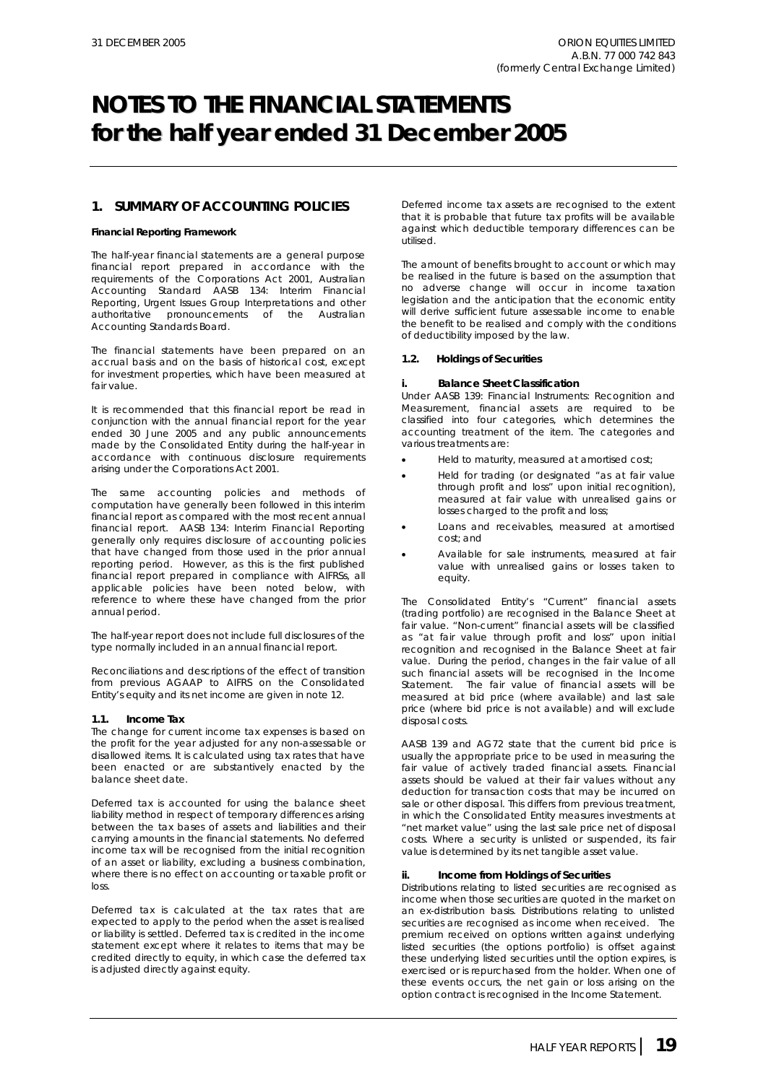### **1. SUMMARY OF ACCOUNTING POLICIES**

### **Financial Reporting Framework**

The half-year financial statements are a general purpose financial report prepared in accordance with the requirements of the Corporations Act 2001, Australian Accounting Standard AASB 134: Interim Financial Reporting, Urgent Issues Group Interpretations and other authoritative pronouncements of the Australian Accounting Standards Board.

The financial statements have been prepared on an accrual basis and on the basis of historical cost, except for investment properties, which have been measured at fair value.

It is recommended that this financial report be read in conjunction with the annual financial report for the year ended 30 June 2005 and any public announcements made by the Consolidated Entity during the half-year in accordance with continuous disclosure requirements arising under the Corporations Act 2001.

The same accounting policies and methods of computation have generally been followed in this interim financial report as compared with the most recent annual financial report. AASB 134: Interim Financial Reporting generally only requires disclosure of accounting policies that have changed from those used in the prior annual reporting period. However, as this is the first published financial report prepared in compliance with AIFRSs, all applicable policies have been noted below, with reference to where these have changed from the prior annual period.

The half-year report does not include full disclosures of the type normally included in an annual financial report.

Reconciliations and descriptions of the effect of transition from previous AGAAP to AIFRS on the Consolidated Entity's equity and its net income are given in note 12.

### **1.1. Income Tax**

The change for current income tax expenses is based on the profit for the year adjusted for any non-assessable or disallowed items. It is calculated using tax rates that have been enacted or are substantively enacted by the balance sheet date.

Deferred tax is accounted for using the balance sheet liability method in respect of temporary differences arising between the tax bases of assets and liabilities and their carrying amounts in the financial statements. No deferred income tax will be recognised from the initial recognition of an asset or liability, excluding a business combination, where there is no effect on accounting or taxable profit or loss.

Deferred tax is calculated at the tax rates that are expected to apply to the period when the asset is realised or liability is settled. Deferred tax is credited in the income statement except where it relates to items that may be credited directly to equity, in which case the deferred tax is adjusted directly against equity.

Deferred income tax assets are recognised to the extent that it is probable that future tax profits will be available against which deductible temporary differences can be utilised.

The amount of benefits brought to account or which may be realised in the future is based on the assumption that no adverse change will occur in income taxation legislation and the anticipation that the economic entity will derive sufficient future assessable income to enable the benefit to be realised and comply with the conditions of deductibility imposed by the law.

### **1.2. Holdings of Securities**

#### **i. Balance Sheet Classification**

Under *AASB 139: Financial Instruments: Recognition and Measurement,* financial assets are required to be classified into four categories, which determines the accounting treatment of the item. The categories and various treatments are:

- Held to maturity, measured at amortised cost;
- Held for trading (or designated "as at fair value through profit and loss" upon initial recognition), measured at fair value with unrealised gains or losses charged to the profit and loss;
- Loans and receivables, measured at amortised cost; and
- Available for sale instruments, measured at fair value with unrealised gains or losses taken to equity.

The Consolidated Entity's "Current" financial assets (trading portfolio) are recognised in the Balance Sheet at fair value. "Non-current" financial assets will be classified as "at fair value through profit and loss" upon initial recognition and recognised in the Balance Sheet at fair value. During the period, changes in the fair value of all such financial assets will be recognised in the Income Statement. The fair value of financial assets will be measured at bid price (where available) and last sale price (where bid price is not available) and will exclude disposal costs.

AASB 139 and AG72 state that the current bid price is usually the appropriate price to be used in measuring the fair value of actively traded financial assets. Financial assets should be valued at their fair values without any deduction for transaction costs that may be incurred on sale or other disposal. This differs from previous treatment, in which the Consolidated Entity measures investments at "net market value" using the last sale price net of disposal costs. Where a security is unlisted or suspended, its fair value is determined by its net tangible asset value.

#### **ii. Income from Holdings of Securities**

Distributions relating to listed securities are recognised as income when those securities are quoted in the market on an ex-distribution basis. Distributions relating to unlisted securities are recognised as income when received. The premium received on options written against underlying listed securities (the options portfolio) is offset against these underlying listed securities until the option expires, is exercised or is repurchased from the holder. When one of these events occurs, the net gain or loss arising on the option contract is recognised in the Income Statement.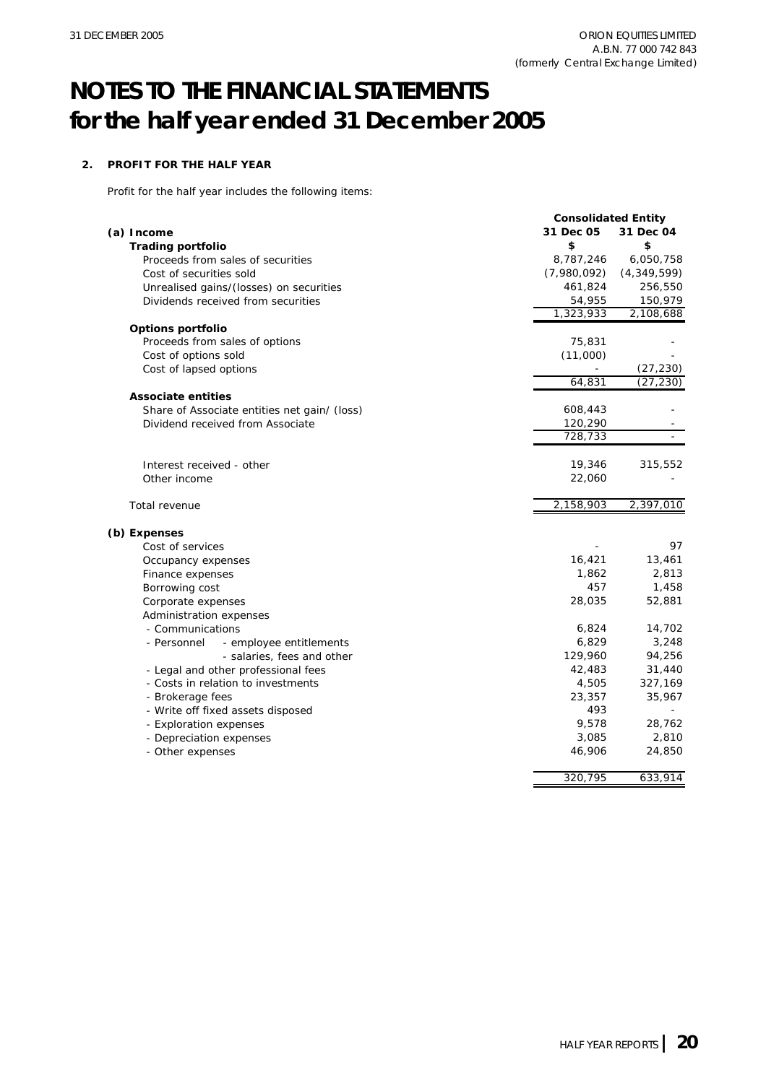### **2. PROFIT FOR THE HALF YEAR**

Profit for the half year includes the following items:

| 31 Dec 05<br>31 Dec 04<br>(a) Income<br>\$<br>\$<br><b>Trading portfolio</b><br>8,787,246<br>Proceeds from sales of securities<br>(7,980,092)<br>(4,349,599)<br>Cost of securities sold<br>461,824<br>Unrealised gains/(losses) on securities<br>54,955<br>Dividends received from securities<br>1,323,933<br>Options portfolio<br>75,831<br>Proceeds from sales of options<br>(11,000)<br>Cost of options sold<br>Cost of lapsed options<br>64,831<br><b>Associate entities</b><br>608,443<br>Share of Associate entities net gain/ (loss)<br>120,290<br>Dividend received from Associate<br>728,733<br>19,346<br>Interest received - other<br>22,060<br>Other income<br>2,158,903<br>Total revenue<br>(b) Expenses<br>Cost of services<br>16,421<br>Occupancy expenses<br>1,862<br>Finance expenses<br>457<br>Borrowing cost<br>28,035<br>Corporate expenses<br>Administration expenses<br>- Communications<br>6,824<br>6,829<br>- Personnel<br>- employee entitlements | 6,050,758<br>256,550<br>150,979<br>2,108,688<br>(27, 230)<br>(27, 230) |
|---------------------------------------------------------------------------------------------------------------------------------------------------------------------------------------------------------------------------------------------------------------------------------------------------------------------------------------------------------------------------------------------------------------------------------------------------------------------------------------------------------------------------------------------------------------------------------------------------------------------------------------------------------------------------------------------------------------------------------------------------------------------------------------------------------------------------------------------------------------------------------------------------------------------------------------------------------------------------|------------------------------------------------------------------------|
|                                                                                                                                                                                                                                                                                                                                                                                                                                                                                                                                                                                                                                                                                                                                                                                                                                                                                                                                                                           |                                                                        |
|                                                                                                                                                                                                                                                                                                                                                                                                                                                                                                                                                                                                                                                                                                                                                                                                                                                                                                                                                                           |                                                                        |
|                                                                                                                                                                                                                                                                                                                                                                                                                                                                                                                                                                                                                                                                                                                                                                                                                                                                                                                                                                           |                                                                        |
|                                                                                                                                                                                                                                                                                                                                                                                                                                                                                                                                                                                                                                                                                                                                                                                                                                                                                                                                                                           |                                                                        |
|                                                                                                                                                                                                                                                                                                                                                                                                                                                                                                                                                                                                                                                                                                                                                                                                                                                                                                                                                                           |                                                                        |
|                                                                                                                                                                                                                                                                                                                                                                                                                                                                                                                                                                                                                                                                                                                                                                                                                                                                                                                                                                           |                                                                        |
|                                                                                                                                                                                                                                                                                                                                                                                                                                                                                                                                                                                                                                                                                                                                                                                                                                                                                                                                                                           |                                                                        |
|                                                                                                                                                                                                                                                                                                                                                                                                                                                                                                                                                                                                                                                                                                                                                                                                                                                                                                                                                                           |                                                                        |
|                                                                                                                                                                                                                                                                                                                                                                                                                                                                                                                                                                                                                                                                                                                                                                                                                                                                                                                                                                           |                                                                        |
|                                                                                                                                                                                                                                                                                                                                                                                                                                                                                                                                                                                                                                                                                                                                                                                                                                                                                                                                                                           |                                                                        |
|                                                                                                                                                                                                                                                                                                                                                                                                                                                                                                                                                                                                                                                                                                                                                                                                                                                                                                                                                                           |                                                                        |
|                                                                                                                                                                                                                                                                                                                                                                                                                                                                                                                                                                                                                                                                                                                                                                                                                                                                                                                                                                           |                                                                        |
|                                                                                                                                                                                                                                                                                                                                                                                                                                                                                                                                                                                                                                                                                                                                                                                                                                                                                                                                                                           |                                                                        |
|                                                                                                                                                                                                                                                                                                                                                                                                                                                                                                                                                                                                                                                                                                                                                                                                                                                                                                                                                                           |                                                                        |
|                                                                                                                                                                                                                                                                                                                                                                                                                                                                                                                                                                                                                                                                                                                                                                                                                                                                                                                                                                           |                                                                        |
|                                                                                                                                                                                                                                                                                                                                                                                                                                                                                                                                                                                                                                                                                                                                                                                                                                                                                                                                                                           |                                                                        |
|                                                                                                                                                                                                                                                                                                                                                                                                                                                                                                                                                                                                                                                                                                                                                                                                                                                                                                                                                                           | 315,552                                                                |
|                                                                                                                                                                                                                                                                                                                                                                                                                                                                                                                                                                                                                                                                                                                                                                                                                                                                                                                                                                           |                                                                        |
|                                                                                                                                                                                                                                                                                                                                                                                                                                                                                                                                                                                                                                                                                                                                                                                                                                                                                                                                                                           | 2,397,010                                                              |
|                                                                                                                                                                                                                                                                                                                                                                                                                                                                                                                                                                                                                                                                                                                                                                                                                                                                                                                                                                           |                                                                        |
|                                                                                                                                                                                                                                                                                                                                                                                                                                                                                                                                                                                                                                                                                                                                                                                                                                                                                                                                                                           | 97                                                                     |
|                                                                                                                                                                                                                                                                                                                                                                                                                                                                                                                                                                                                                                                                                                                                                                                                                                                                                                                                                                           | 13,461                                                                 |
|                                                                                                                                                                                                                                                                                                                                                                                                                                                                                                                                                                                                                                                                                                                                                                                                                                                                                                                                                                           | 2,813                                                                  |
|                                                                                                                                                                                                                                                                                                                                                                                                                                                                                                                                                                                                                                                                                                                                                                                                                                                                                                                                                                           | 1,458                                                                  |
|                                                                                                                                                                                                                                                                                                                                                                                                                                                                                                                                                                                                                                                                                                                                                                                                                                                                                                                                                                           | 52,881                                                                 |
|                                                                                                                                                                                                                                                                                                                                                                                                                                                                                                                                                                                                                                                                                                                                                                                                                                                                                                                                                                           |                                                                        |
|                                                                                                                                                                                                                                                                                                                                                                                                                                                                                                                                                                                                                                                                                                                                                                                                                                                                                                                                                                           | 14,702                                                                 |
|                                                                                                                                                                                                                                                                                                                                                                                                                                                                                                                                                                                                                                                                                                                                                                                                                                                                                                                                                                           | 3,248                                                                  |
| 129,960<br>- salaries, fees and other                                                                                                                                                                                                                                                                                                                                                                                                                                                                                                                                                                                                                                                                                                                                                                                                                                                                                                                                     | 94,256                                                                 |
| 42,483<br>- Legal and other professional fees                                                                                                                                                                                                                                                                                                                                                                                                                                                                                                                                                                                                                                                                                                                                                                                                                                                                                                                             | 31,440                                                                 |
| 4,505<br>- Costs in relation to investments                                                                                                                                                                                                                                                                                                                                                                                                                                                                                                                                                                                                                                                                                                                                                                                                                                                                                                                               | 327,169                                                                |
| 23,357<br>- Brokerage fees                                                                                                                                                                                                                                                                                                                                                                                                                                                                                                                                                                                                                                                                                                                                                                                                                                                                                                                                                | 35,967                                                                 |
| 493<br>- Write off fixed assets disposed                                                                                                                                                                                                                                                                                                                                                                                                                                                                                                                                                                                                                                                                                                                                                                                                                                                                                                                                  |                                                                        |
| 9,578<br>- Exploration expenses                                                                                                                                                                                                                                                                                                                                                                                                                                                                                                                                                                                                                                                                                                                                                                                                                                                                                                                                           | 28,762                                                                 |
| 3,085<br>- Depreciation expenses                                                                                                                                                                                                                                                                                                                                                                                                                                                                                                                                                                                                                                                                                                                                                                                                                                                                                                                                          | 2,810                                                                  |
| 46,906<br>- Other expenses                                                                                                                                                                                                                                                                                                                                                                                                                                                                                                                                                                                                                                                                                                                                                                                                                                                                                                                                                | 24,850                                                                 |
| 320,795<br>633,914                                                                                                                                                                                                                                                                                                                                                                                                                                                                                                                                                                                                                                                                                                                                                                                                                                                                                                                                                        |                                                                        |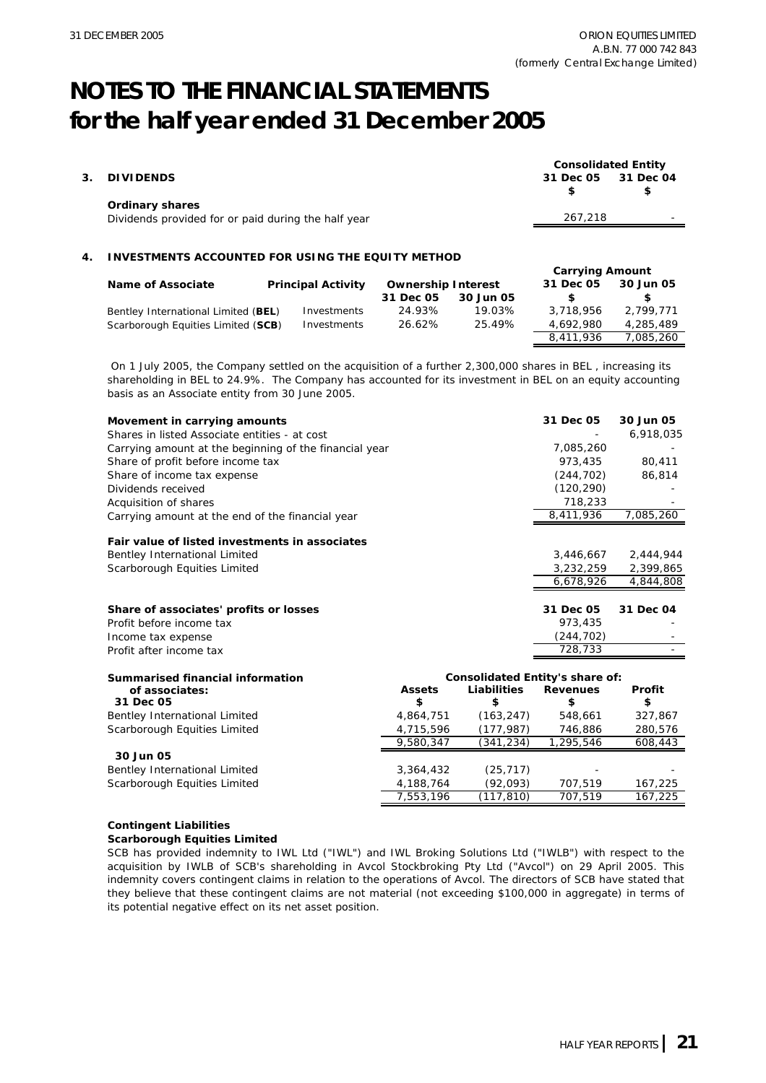|    |                                                          | <b>Consolidated Entity</b> |           |  |
|----|----------------------------------------------------------|----------------------------|-----------|--|
| 3. | <b>DIVIDENDS</b>                                         | 31 Dec 05                  | 31 Dec 04 |  |
|    |                                                          | \$                         |           |  |
|    | <b>Ordinary shares</b>                                   |                            |           |  |
|    | Dividends provided for or paid during the half year      | 267,218                    |           |  |
|    |                                                          |                            |           |  |
|    |                                                          |                            |           |  |
| 4  | <b>INVESTMENTS ACCOUNTED FOR USING THE EQUITY METHOD</b> |                            |           |  |
|    |                                                          | <b>Carrying Amount</b>     |           |  |

| Name of Associate                   | <b>Principal Activity</b> | <b>Ownership Interest</b> |           | 31 Dec 05 | 30 Jun 05 |
|-------------------------------------|---------------------------|---------------------------|-----------|-----------|-----------|
|                                     |                           | 31 Dec 05                 | 30 Jun 05 |           |           |
| Bentley International Limited (BEL) | Investments               | 24.93%                    | 19.03%    | 3,718,956 | 2.799.771 |
| Scarborough Equities Limited (SCB)  | Investments               | 26.62%                    | 25.49%    | 4.692.980 | 4,285,489 |
|                                     |                           |                           |           | 8.411.936 | 7.085.260 |

 On 1 July 2005, the Company settled on the acquisition of a further 2,300,000 shares in BEL , increasing its shareholding in BEL to 24.9%. The Company has accounted for its investment in BEL on an equity accounting basis as an Associate entity from 30 June 2005.

| Movement in carrying amounts                           |               |                                 | 31 Dec 05       | 30 Jun 05 |
|--------------------------------------------------------|---------------|---------------------------------|-----------------|-----------|
| Shares in listed Associate entities - at cost          |               |                                 |                 | 6,918,035 |
| Carrying amount at the beginning of the financial year |               |                                 | 7,085,260       |           |
| Share of profit before income tax                      |               |                                 | 973,435         | 80,411    |
| Share of income tax expense                            |               |                                 | (244, 702)      | 86,814    |
| Dividends received                                     |               |                                 | (120, 290)      |           |
| Acquisition of shares                                  |               |                                 | 718,233         |           |
| Carrying amount at the end of the financial year       |               |                                 | 8,411,936       | 7,085,260 |
| Fair value of listed investments in associates         |               |                                 |                 |           |
| Bentley International Limited                          |               |                                 | 3,446,667       | 2,444,944 |
| Scarborough Equities Limited                           |               |                                 | 3,232,259       | 2,399,865 |
|                                                        |               |                                 | 6,678,926       | 4,844,808 |
| Share of associates' profits or losses                 |               |                                 | 31 Dec 05       | 31 Dec 04 |
| Profit before income tax                               |               |                                 | 973,435         |           |
| Income tax expense                                     |               |                                 | (244, 702)      |           |
| Profit after income tax                                |               |                                 | 728,733         |           |
| Summarised financial information                       |               | Consolidated Entity's share of: |                 |           |
| of associates:                                         | <b>Assets</b> | Liabilities                     | <b>Revenues</b> | Profit    |
| 31 Dec 05                                              | \$            | \$                              | \$              | \$        |
| Bentley International Limited                          | 4,864,751     | (163, 247)                      | 548,661         | 327,867   |
| Scarborough Equities Limited                           | 4,715,596     | (177, 987)                      | 746,886         | 280,576   |
|                                                        | 9,580,347     | (341,234)                       | 1,295,546       | 608,443   |
| 30 Jun 05                                              |               |                                 |                 |           |
| Bentley International Limited                          | 3,364,432     | (25, 717)                       |                 |           |
| Scarborough Equities Limited                           | 4,188,764     | (92,093)                        | 707.519         | 167,225   |

### **Contingent Liabilities**

### **Scarborough Equities Limited**

SCB has provided indemnity to IWL Ltd ("IWL") and IWL Broking Solutions Ltd ("IWLB") with respect to the acquisition by IWLB of SCB's shareholding in Avcol Stockbroking Pty Ltd ("Avcol") on 29 April 2005. This indemnity covers contingent claims in relation to the operations of Avcol. The directors of SCB have stated that they believe that these contingent claims are not material (not exceeding \$100,000 in aggregate) in terms of its potential negative effect on its net asset position.

7,553,196 (117,810) 707,519 167,225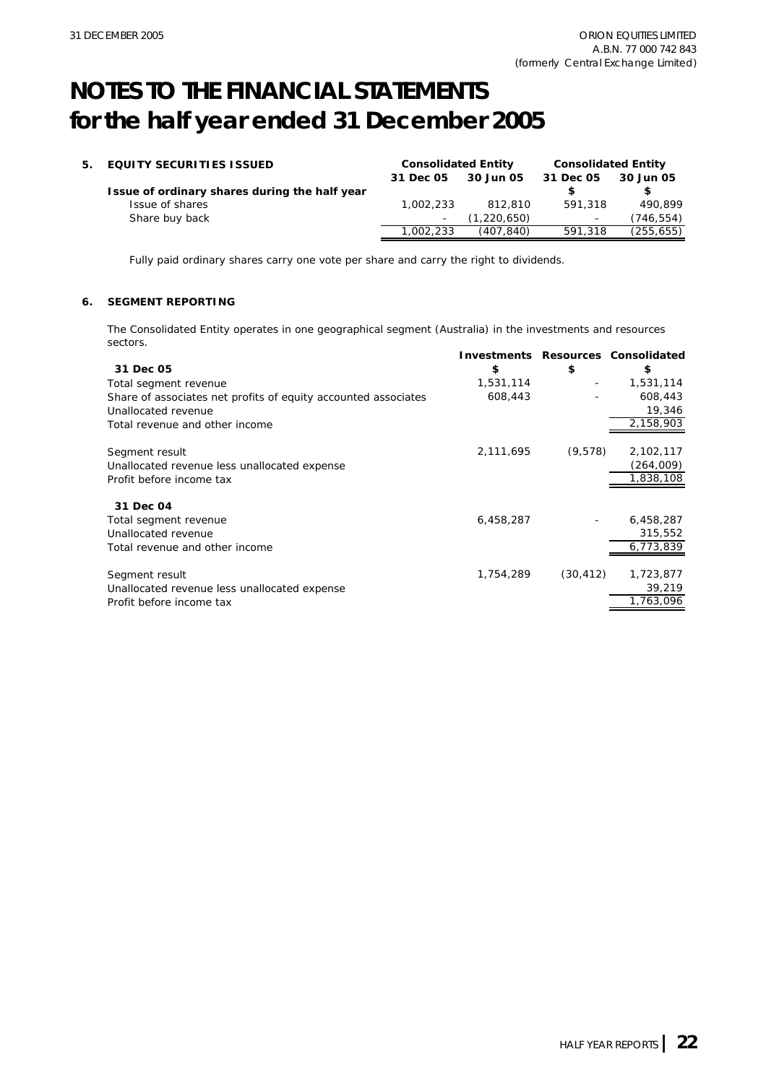| 5. EQUITY SECURITIES ISSUED                   | <b>Consolidated Entity</b> |             | <b>Consolidated Entity</b> |            |
|-----------------------------------------------|----------------------------|-------------|----------------------------|------------|
|                                               | 31 Dec 05                  | 30 Jun 05   | 31 Dec 05                  | 30 Jun 05  |
| Issue of ordinary shares during the half year |                            |             |                            |            |
| Issue of shares                               | 1.002.233                  | 812,810     | 591,318                    | 490.899    |
| Share buy back                                |                            | (1,220,650) | $\sim$                     | (746,554)  |
|                                               | 1.002.233                  | (407.840)   | 591,318                    | (255, 655) |

Fully paid ordinary shares carry one vote per share and carry the right to dividends.

### **6. SEGMENT REPORTING**

The Consolidated Entity operates in one geographical segment (Australia) in the investments and resources sectors.

|                                                                |           |                          | <b>Investments Resources Consolidated</b> |
|----------------------------------------------------------------|-----------|--------------------------|-------------------------------------------|
| 31 Dec 05                                                      | \$        | \$                       | \$                                        |
| Total segment revenue                                          | 1,531,114 | $\overline{\phantom{a}}$ | 1,531,114                                 |
| Share of associates net profits of equity accounted associates | 608,443   |                          | 608,443                                   |
| Unallocated revenue                                            |           |                          | 19,346                                    |
| Total revenue and other income                                 |           |                          | 2,158,903                                 |
| Segment result                                                 | 2,111,695 | (9,578)                  | 2,102,117                                 |
| Unallocated revenue less unallocated expense                   |           |                          | (264,009)                                 |
| Profit before income tax                                       |           |                          | 1,838,108                                 |
| 31 Dec 04                                                      |           |                          |                                           |
| Total segment revenue                                          | 6,458,287 |                          | 6,458,287                                 |
| Unallocated revenue                                            |           |                          | 315,552                                   |
| Total revenue and other income                                 |           |                          | 6,773,839                                 |
| Segment result                                                 | 1,754,289 | (30, 412)                | 1,723,877                                 |
| Unallocated revenue less unallocated expense                   |           |                          | 39,219                                    |
| Profit before income tax                                       |           |                          | 1,763,096                                 |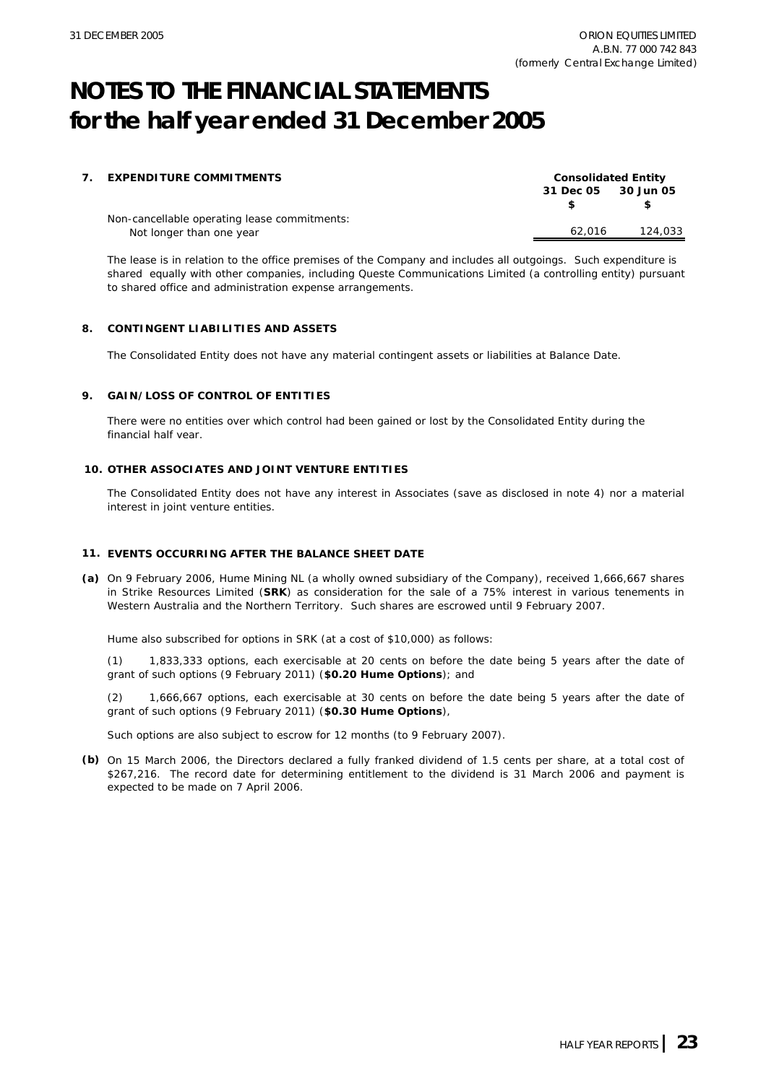| 7. | <b>EXPENDITURE COMMITMENTS</b>               |                     | <b>Consolidated Entity</b> |
|----|----------------------------------------------|---------------------|----------------------------|
|    |                                              | 31 Dec 05 30 Jun 05 |                            |
|    | Non-cancellable operating lease commitments: |                     |                            |
|    | Not longer than one year                     | 62.016              | 124,033                    |

The lease is in relation to the office premises of the Company and includes all outgoings. Such expenditure is shared equally with other companies, including Queste Communications Limited (a controlling entity) pursuant to shared office and administration expense arrangements.

### **8. CONTINGENT LIABILITIES AND ASSETS**

The Consolidated Entity does not have any material contingent assets or liabilities at Balance Date.

### **9. GAIN/LOSS OF CONTROL OF ENTITIES**

There were no entities over which control had been gained or lost by the Consolidated Entity during the financial half year.

### **10. OTHER ASSOCIATES AND JOINT VENTURE ENTITIES**

The Consolidated Entity does not have any interest in Associates (save as disclosed in note 4) nor a material interest in joint venture entities.

### **11. EVENTS OCCURRING AFTER THE BALANCE SHEET DATE**

**(a)** On 9 February 2006, Hume Mining NL (a wholly owned subsidiary of the Company), received 1,666,667 shares in Strike Resources Limited (**SRK**) as consideration for the sale of a 75% interest in various tenements in Western Australia and the Northern Territory. Such shares are escrowed until 9 February 2007.

Hume also subscribed for options in SRK (at a cost of \$10,000) as follows:

(1) 1,833,333 options, each exercisable at 20 cents on before the date being 5 years after the date of grant of such options (9 February 2011) (**\$0.20 Hume Options**); and

(2) 1,666,667 options, each exercisable at 30 cents on before the date being 5 years after the date of grant of such options (9 February 2011) (**\$0.30 Hume Options**),

Such options are also subject to escrow for 12 months (to 9 February 2007).

**(b)** On 15 March 2006, the Directors declared a fully franked dividend of 1.5 cents per share, at a total cost of \$267,216. The record date for determining entitlement to the dividend is 31 March 2006 and payment is expected to be made on 7 April 2006.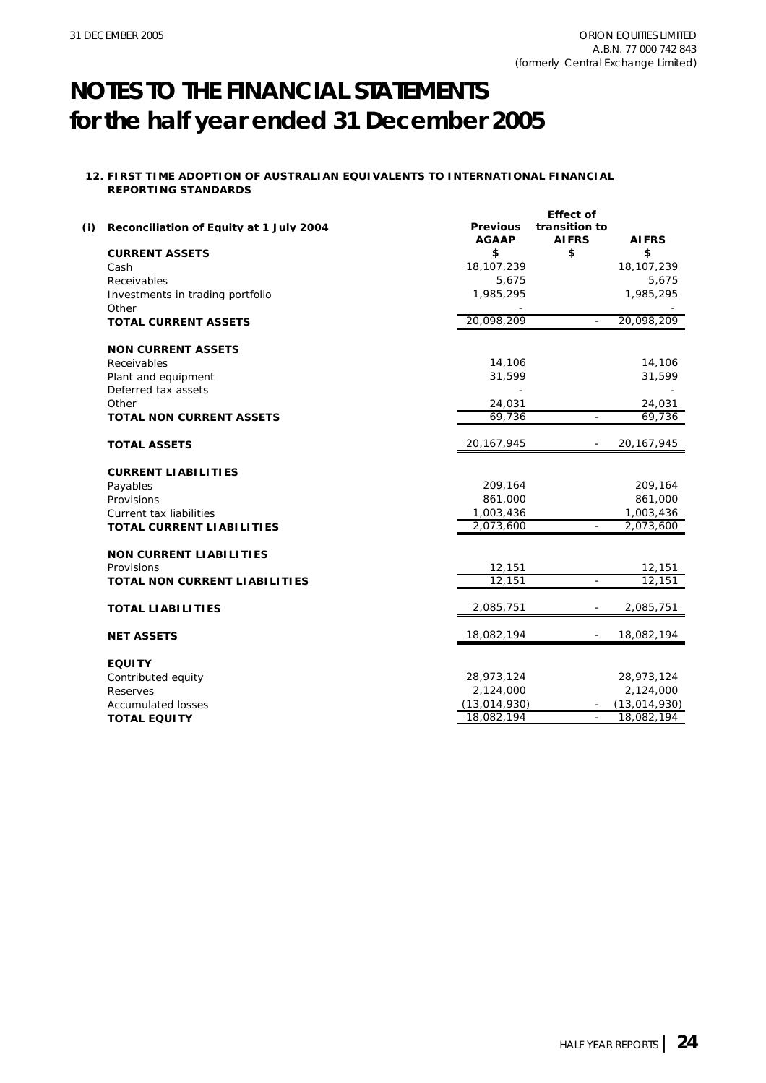### **12. FIRST TIME ADOPTION OF AUSTRALIAN EQUIVALENTS TO INTERNATIONAL FINANCIAL REPORTING STANDARDS**

| \$<br>\$<br>\$<br><b>CURRENT ASSETS</b><br>18,107,239<br>18, 107, 239<br>Cash<br>5,675<br>5,675<br>Receivables<br>1,985,295<br>1,985,295<br>Investments in trading portfolio<br>Other<br>20,098,209<br>20,098,209<br><b>TOTAL CURRENT ASSETS</b><br><b>NON CURRENT ASSETS</b><br>14,106<br>14,106<br>Receivables<br>31,599<br>31,599<br>Plant and equipment<br>Deferred tax assets<br>24,031<br>Other<br>24,031<br>69,736<br>69,736<br><b>TOTAL NON CURRENT ASSETS</b><br>20, 167, 945<br>20, 167, 945<br><b>TOTAL ASSETS</b><br><b>CURRENT LIABILITIES</b><br>209,164<br>209,164<br>Payables<br>861,000<br>861,000<br>Provisions<br>1,003,436<br>1,003,436<br>Current tax liabilities<br>2,073,600<br>2,073,600<br><b>TOTAL CURRENT LIABILITIES</b><br><b>NON CURRENT LIABILITIES</b><br>12,151<br>12,151<br>Provisions<br>12,151<br>12,151<br>$\mathbb{L}$<br><b>TOTAL NON CURRENT LIABILITIES</b><br>2,085,751<br>2,085,751<br><b>TOTAL LIABILITIES</b><br>18,082,194<br>18,082,194<br><b>NET ASSETS</b><br><b>EQUITY</b><br>28,973,124<br>28,973,124<br>Contributed equity<br>2,124,000<br>2,124,000<br>Reserves<br>(13,014,930)<br>(13,014,930)<br><b>Accumulated losses</b><br>18,082,194<br>18,082,194<br><b>TOTAL EQUITY</b><br>$\blacksquare$ | (i) | Reconciliation of Equity at 1 July 2004 | <b>Previous</b><br><b>AGAAP</b> | <b>Effect of</b><br>transition to<br><b>AIFRS</b> | <b>AIFRS</b> |
|--------------------------------------------------------------------------------------------------------------------------------------------------------------------------------------------------------------------------------------------------------------------------------------------------------------------------------------------------------------------------------------------------------------------------------------------------------------------------------------------------------------------------------------------------------------------------------------------------------------------------------------------------------------------------------------------------------------------------------------------------------------------------------------------------------------------------------------------------------------------------------------------------------------------------------------------------------------------------------------------------------------------------------------------------------------------------------------------------------------------------------------------------------------------------------------------------------------------------------------------------------|-----|-----------------------------------------|---------------------------------|---------------------------------------------------|--------------|
|                                                                                                                                                                                                                                                                                                                                                                                                                                                                                                                                                                                                                                                                                                                                                                                                                                                                                                                                                                                                                                                                                                                                                                                                                                                        |     |                                         |                                 |                                                   |              |
|                                                                                                                                                                                                                                                                                                                                                                                                                                                                                                                                                                                                                                                                                                                                                                                                                                                                                                                                                                                                                                                                                                                                                                                                                                                        |     |                                         |                                 |                                                   |              |
|                                                                                                                                                                                                                                                                                                                                                                                                                                                                                                                                                                                                                                                                                                                                                                                                                                                                                                                                                                                                                                                                                                                                                                                                                                                        |     |                                         |                                 |                                                   |              |
|                                                                                                                                                                                                                                                                                                                                                                                                                                                                                                                                                                                                                                                                                                                                                                                                                                                                                                                                                                                                                                                                                                                                                                                                                                                        |     |                                         |                                 |                                                   |              |
|                                                                                                                                                                                                                                                                                                                                                                                                                                                                                                                                                                                                                                                                                                                                                                                                                                                                                                                                                                                                                                                                                                                                                                                                                                                        |     |                                         |                                 |                                                   |              |
|                                                                                                                                                                                                                                                                                                                                                                                                                                                                                                                                                                                                                                                                                                                                                                                                                                                                                                                                                                                                                                                                                                                                                                                                                                                        |     |                                         |                                 |                                                   |              |
|                                                                                                                                                                                                                                                                                                                                                                                                                                                                                                                                                                                                                                                                                                                                                                                                                                                                                                                                                                                                                                                                                                                                                                                                                                                        |     |                                         |                                 |                                                   |              |
|                                                                                                                                                                                                                                                                                                                                                                                                                                                                                                                                                                                                                                                                                                                                                                                                                                                                                                                                                                                                                                                                                                                                                                                                                                                        |     |                                         |                                 |                                                   |              |
|                                                                                                                                                                                                                                                                                                                                                                                                                                                                                                                                                                                                                                                                                                                                                                                                                                                                                                                                                                                                                                                                                                                                                                                                                                                        |     |                                         |                                 |                                                   |              |
|                                                                                                                                                                                                                                                                                                                                                                                                                                                                                                                                                                                                                                                                                                                                                                                                                                                                                                                                                                                                                                                                                                                                                                                                                                                        |     |                                         |                                 |                                                   |              |
|                                                                                                                                                                                                                                                                                                                                                                                                                                                                                                                                                                                                                                                                                                                                                                                                                                                                                                                                                                                                                                                                                                                                                                                                                                                        |     |                                         |                                 |                                                   |              |
|                                                                                                                                                                                                                                                                                                                                                                                                                                                                                                                                                                                                                                                                                                                                                                                                                                                                                                                                                                                                                                                                                                                                                                                                                                                        |     |                                         |                                 |                                                   |              |
|                                                                                                                                                                                                                                                                                                                                                                                                                                                                                                                                                                                                                                                                                                                                                                                                                                                                                                                                                                                                                                                                                                                                                                                                                                                        |     |                                         |                                 |                                                   |              |
|                                                                                                                                                                                                                                                                                                                                                                                                                                                                                                                                                                                                                                                                                                                                                                                                                                                                                                                                                                                                                                                                                                                                                                                                                                                        |     |                                         |                                 |                                                   |              |
|                                                                                                                                                                                                                                                                                                                                                                                                                                                                                                                                                                                                                                                                                                                                                                                                                                                                                                                                                                                                                                                                                                                                                                                                                                                        |     |                                         |                                 |                                                   |              |
|                                                                                                                                                                                                                                                                                                                                                                                                                                                                                                                                                                                                                                                                                                                                                                                                                                                                                                                                                                                                                                                                                                                                                                                                                                                        |     |                                         |                                 |                                                   |              |
|                                                                                                                                                                                                                                                                                                                                                                                                                                                                                                                                                                                                                                                                                                                                                                                                                                                                                                                                                                                                                                                                                                                                                                                                                                                        |     |                                         |                                 |                                                   |              |
|                                                                                                                                                                                                                                                                                                                                                                                                                                                                                                                                                                                                                                                                                                                                                                                                                                                                                                                                                                                                                                                                                                                                                                                                                                                        |     |                                         |                                 |                                                   |              |
|                                                                                                                                                                                                                                                                                                                                                                                                                                                                                                                                                                                                                                                                                                                                                                                                                                                                                                                                                                                                                                                                                                                                                                                                                                                        |     |                                         |                                 |                                                   |              |
|                                                                                                                                                                                                                                                                                                                                                                                                                                                                                                                                                                                                                                                                                                                                                                                                                                                                                                                                                                                                                                                                                                                                                                                                                                                        |     |                                         |                                 |                                                   |              |
|                                                                                                                                                                                                                                                                                                                                                                                                                                                                                                                                                                                                                                                                                                                                                                                                                                                                                                                                                                                                                                                                                                                                                                                                                                                        |     |                                         |                                 |                                                   |              |
|                                                                                                                                                                                                                                                                                                                                                                                                                                                                                                                                                                                                                                                                                                                                                                                                                                                                                                                                                                                                                                                                                                                                                                                                                                                        |     |                                         |                                 |                                                   |              |
|                                                                                                                                                                                                                                                                                                                                                                                                                                                                                                                                                                                                                                                                                                                                                                                                                                                                                                                                                                                                                                                                                                                                                                                                                                                        |     |                                         |                                 |                                                   |              |
|                                                                                                                                                                                                                                                                                                                                                                                                                                                                                                                                                                                                                                                                                                                                                                                                                                                                                                                                                                                                                                                                                                                                                                                                                                                        |     |                                         |                                 |                                                   |              |
|                                                                                                                                                                                                                                                                                                                                                                                                                                                                                                                                                                                                                                                                                                                                                                                                                                                                                                                                                                                                                                                                                                                                                                                                                                                        |     |                                         |                                 |                                                   |              |
|                                                                                                                                                                                                                                                                                                                                                                                                                                                                                                                                                                                                                                                                                                                                                                                                                                                                                                                                                                                                                                                                                                                                                                                                                                                        |     |                                         |                                 |                                                   |              |
|                                                                                                                                                                                                                                                                                                                                                                                                                                                                                                                                                                                                                                                                                                                                                                                                                                                                                                                                                                                                                                                                                                                                                                                                                                                        |     |                                         |                                 |                                                   |              |
|                                                                                                                                                                                                                                                                                                                                                                                                                                                                                                                                                                                                                                                                                                                                                                                                                                                                                                                                                                                                                                                                                                                                                                                                                                                        |     |                                         |                                 |                                                   |              |
|                                                                                                                                                                                                                                                                                                                                                                                                                                                                                                                                                                                                                                                                                                                                                                                                                                                                                                                                                                                                                                                                                                                                                                                                                                                        |     |                                         |                                 |                                                   |              |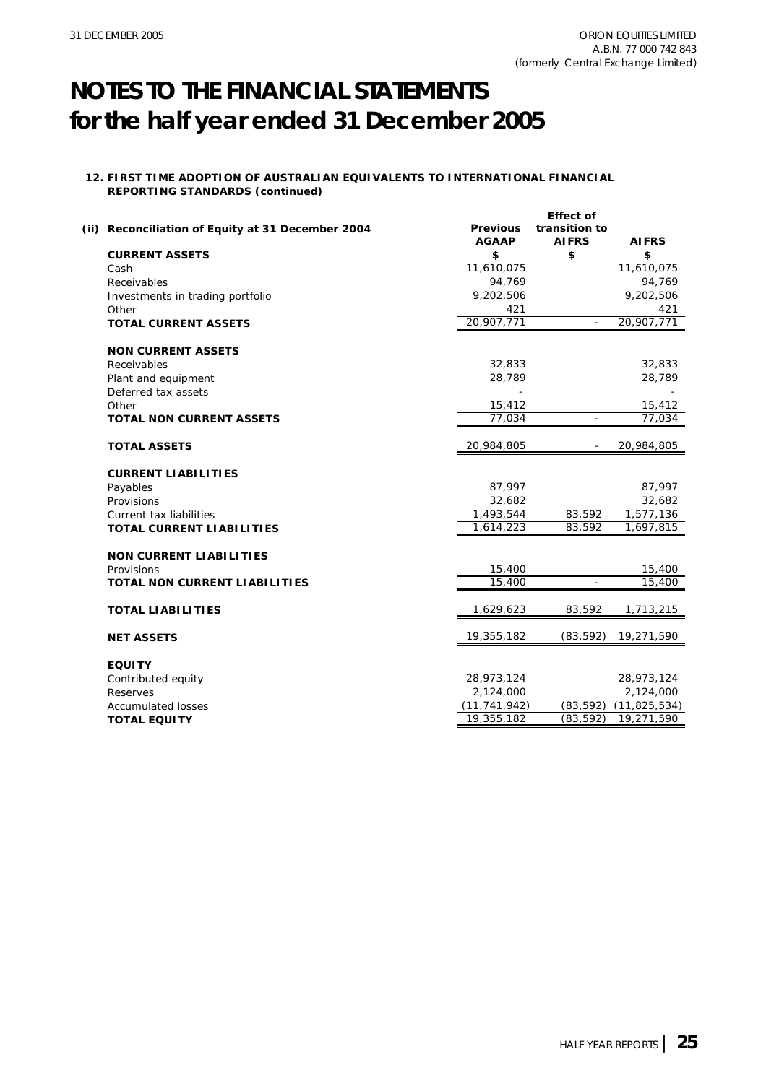### **12. FIRST TIME ADOPTION OF AUSTRALIAN EQUIVALENTS TO INTERNATIONAL FINANCIAL REPORTING STANDARDS (continued)**

| (ii) Reconciliation of Equity at 31 December 2004 | <b>Previous</b><br><b>AGAAP</b> | <b>Effect of</b><br>transition to<br><b>AIFRS</b> | <b>AIFRS</b>   |
|---------------------------------------------------|---------------------------------|---------------------------------------------------|----------------|
| <b>CURRENT ASSETS</b>                             | \$                              | \$                                                | \$             |
| Cash                                              | 11,610,075                      |                                                   | 11,610,075     |
| Receivables                                       | 94,769                          |                                                   | 94,769         |
| Investments in trading portfolio                  | 9,202,506                       |                                                   | 9,202,506      |
| Other                                             | 421                             |                                                   | 421            |
| <b>TOTAL CURRENT ASSETS</b>                       | 20,907,771                      |                                                   | 20,907,771     |
| <b>NON CURRENT ASSETS</b>                         |                                 |                                                   |                |
| Receivables                                       | 32,833                          |                                                   | 32,833         |
| Plant and equipment                               | 28,789                          |                                                   | 28,789         |
| Deferred tax assets                               |                                 |                                                   |                |
| Other                                             | 15,412                          |                                                   | 15,412         |
| <b>TOTAL NON CURRENT ASSETS</b>                   | 77,034                          |                                                   | 77,034         |
| <b>TOTAL ASSETS</b>                               | 20,984,805                      |                                                   | 20,984,805     |
| <b>CURRENT LIABILITIES</b>                        |                                 |                                                   |                |
| Payables                                          | 87,997                          |                                                   | 87,997         |
| Provisions                                        | 32,682                          |                                                   | 32,682         |
| Current tax liabilities                           | 1,493,544                       | 83,592                                            | 1,577,136      |
| <b>TOTAL CURRENT LIABILITIES</b>                  | 1,614,223                       | 83,592                                            | 1,697,815      |
| <b>NON CURRENT LIABILITIES</b>                    |                                 |                                                   |                |
| Provisions                                        | 15,400                          |                                                   | 15,400         |
| <b>TOTAL NON CURRENT LIABILITIES</b>              | 15,400                          |                                                   | 15,400         |
|                                                   |                                 |                                                   |                |
| <b>TOTAL LIABILITIES</b>                          | 1,629,623                       | 83,592                                            | 1,713,215      |
| <b>NET ASSETS</b>                                 | 19,355,182                      | (83, 592)                                         | 19,271,590     |
| <b>EQUITY</b>                                     |                                 |                                                   |                |
| Contributed equity                                | 28,973,124                      |                                                   | 28,973,124     |
| Reserves                                          | 2,124,000                       |                                                   | 2,124,000      |
| <b>Accumulated losses</b>                         | (11, 741, 942)                  | (83, 592)                                         | (11, 825, 534) |
| <b>TOTAL EQUITY</b>                               | 19,355,182                      | (83, 592)                                         | 19,271,590     |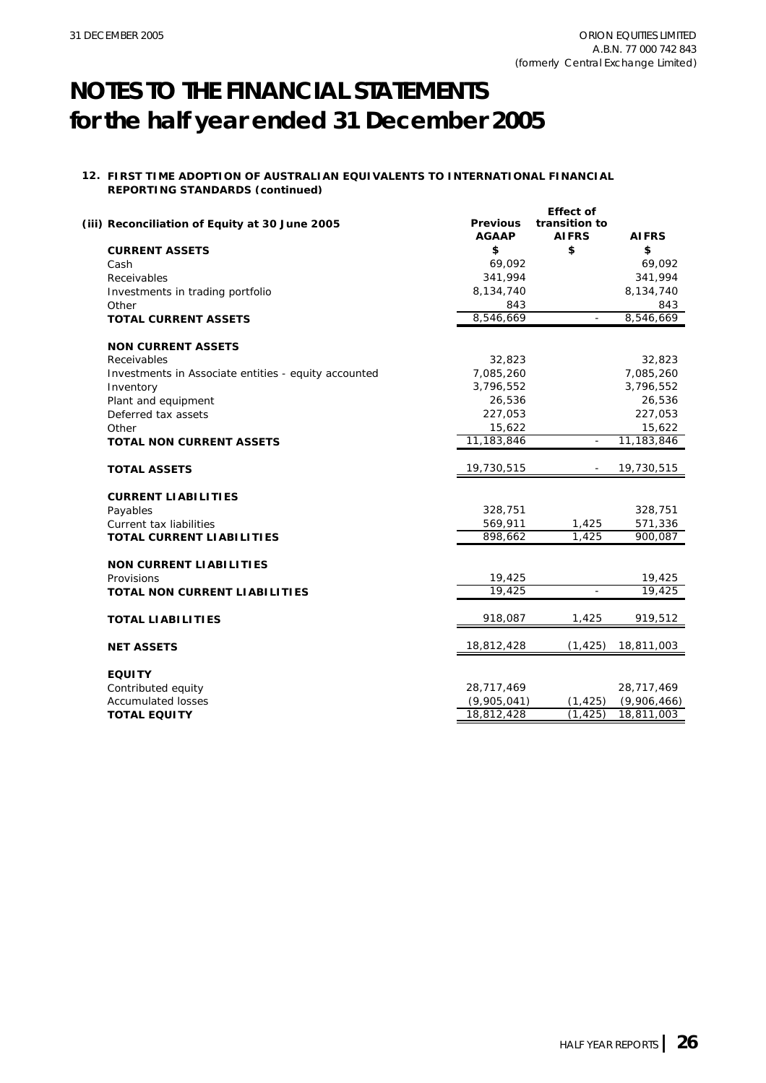### **12. FIRST TIME ADOPTION OF AUSTRALIAN EQUIVALENTS TO INTERNATIONAL FINANCIAL REPORTING STANDARDS (continued)**

| (iii) Reconciliation of Equity at 30 June 2005       | <b>Previous</b><br><b>AGAAP</b> | <b>Effect of</b><br>transition to<br><b>AIFRS</b> | <b>AIFRS</b> |
|------------------------------------------------------|---------------------------------|---------------------------------------------------|--------------|
| <b>CURRENT ASSETS</b>                                | \$                              | \$                                                | \$           |
| Cash                                                 | 69,092                          |                                                   | 69,092       |
| Receivables                                          | 341,994                         |                                                   | 341,994      |
| Investments in trading portfolio                     | 8,134,740                       |                                                   | 8,134,740    |
| Other                                                | 843                             |                                                   | 843          |
| <b>TOTAL CURRENT ASSETS</b>                          | 8,546,669                       |                                                   | 8,546,669    |
| <b>NON CURRENT ASSETS</b>                            |                                 |                                                   |              |
| Receivables                                          | 32,823                          |                                                   | 32,823       |
| Investments in Associate entities - equity accounted | 7,085,260                       |                                                   | 7,085,260    |
| Inventory                                            | 3,796,552                       |                                                   | 3,796,552    |
| Plant and equipment                                  | 26,536                          |                                                   | 26,536       |
| Deferred tax assets                                  | 227,053                         |                                                   | 227,053      |
| Other                                                | 15,622                          |                                                   | 15,622       |
| <b>TOTAL NON CURRENT ASSETS</b>                      | 11,183,846                      | $\blacksquare$                                    | 11,183,846   |
| <b>TOTAL ASSETS</b>                                  | 19,730,515                      |                                                   | 19,730,515   |
| <b>CURRENT LIABILITIES</b>                           |                                 |                                                   |              |
| Payables                                             | 328,751                         |                                                   | 328,751      |
| Current tax liabilities                              | 569,911                         | 1,425                                             | 571,336      |
| <b>TOTAL CURRENT LIABILITIES</b>                     | 898,662                         | 1.425                                             | 900,087      |
| <b>NON CURRENT LIABILITIES</b>                       |                                 |                                                   |              |
| Provisions                                           | 19,425                          |                                                   | 19,425       |
| TOTAL NON CURRENT LIABILITIES                        | 19,425                          | $\overline{\phantom{a}}$                          | 19,425       |
| <b>TOTAL LIABILITIES</b>                             | 918,087                         | 1,425                                             | 919,512      |
| <b>NET ASSETS</b>                                    | 18,812,428                      | (1, 425)                                          | 18,811,003   |
| <b>EQUITY</b>                                        |                                 |                                                   |              |
| Contributed equity                                   | 28,717,469                      |                                                   | 28,717,469   |
| <b>Accumulated losses</b>                            | (9,905,041)                     | (1, 425)                                          | (9,906,466)  |
| <b>TOTAL EQUITY</b>                                  | 18,812,428                      | (1, 425)                                          | 18,811,003   |
|                                                      |                                 |                                                   |              |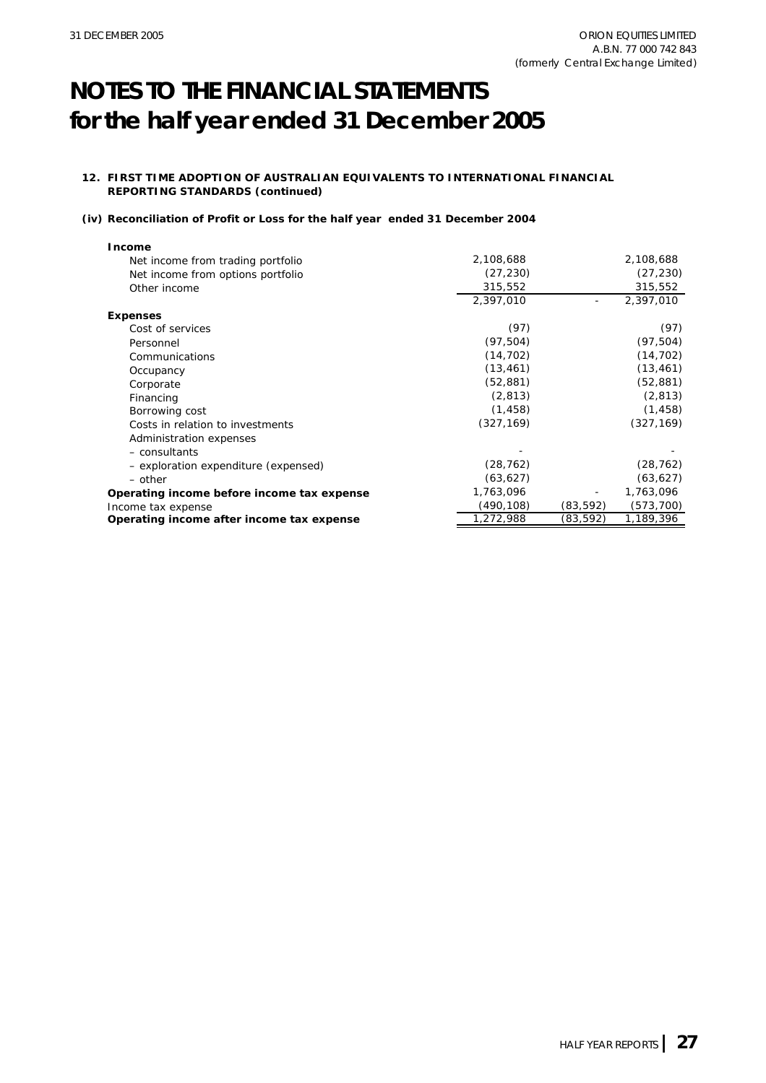### **12. FIRST TIME ADOPTION OF AUSTRALIAN EQUIVALENTS TO INTERNATIONAL FINANCIAL REPORTING STANDARDS (continued)**

### **(iv) Reconciliation of Profit or Loss for the half year ended 31 December 2004**

| <b>Income</b>                              |            |                          |            |
|--------------------------------------------|------------|--------------------------|------------|
| Net income from trading portfolio          | 2,108,688  |                          | 2,108,688  |
| Net income from options portfolio          | (27, 230)  |                          | (27, 230)  |
| Other income                               | 315,552    |                          | 315,552    |
|                                            | 2,397,010  |                          | 2,397,010  |
| <b>Expenses</b>                            |            |                          |            |
| Cost of services                           | (97)       |                          | (97)       |
| Personnel                                  | (97, 504)  |                          | (97, 504)  |
| Communications                             | (14, 702)  |                          | (14, 702)  |
| Occupancy                                  | (13, 461)  |                          | (13, 461)  |
| Corporate                                  | (52, 881)  |                          | (52, 881)  |
| Financing                                  | (2, 813)   |                          | (2, 813)   |
| Borrowing cost                             | (1, 458)   |                          | (1, 458)   |
| Costs in relation to investments           | (327, 169) |                          | (327, 169) |
| Administration expenses                    |            |                          |            |
| - consultants                              |            |                          |            |
| - exploration expenditure (expensed)       | (28, 762)  |                          | (28, 762)  |
| - other                                    | (63, 627)  |                          | (63, 627)  |
| Operating income before income tax expense | 1,763,096  | $\overline{\phantom{a}}$ | 1,763,096  |
| Income tax expense                         | (490,108)  | (83, 592)                | (573, 700) |
| Operating income after income tax expense  | 1,272,988  | (83,592)                 | 1,189,396  |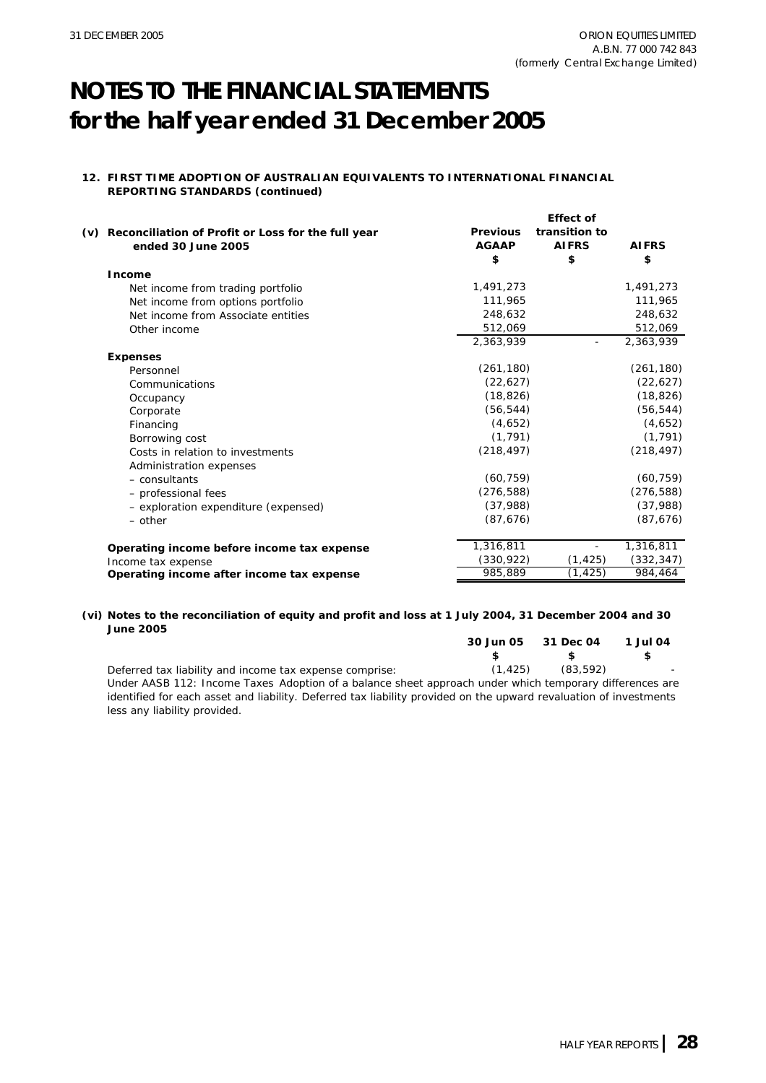### **12. FIRST TIME ADOPTION OF AUSTRALIAN EQUIVALENTS TO INTERNATIONAL FINANCIAL REPORTING STANDARDS (continued)**

|                                                                         |                                 | <b>Effect of</b>              |              |
|-------------------------------------------------------------------------|---------------------------------|-------------------------------|--------------|
| (v) Reconciliation of Profit or Loss for the full year                  | <b>Previous</b><br><b>AGAAP</b> | transition to<br><b>AIFRS</b> | <b>AIFRS</b> |
| ended 30 June 2005                                                      | \$                              | \$                            | \$           |
| <b>Income</b>                                                           |                                 |                               |              |
|                                                                         | 1,491,273                       |                               | 1,491,273    |
| Net income from trading portfolio                                       | 111,965                         |                               | 111,965      |
| Net income from options portfolio<br>Net income from Associate entities | 248,632                         |                               | 248,632      |
| Other income                                                            | 512,069                         |                               | 512,069      |
|                                                                         | 2,363,939                       |                               | 2,363,939    |
| <b>Expenses</b>                                                         |                                 |                               |              |
| Personnel                                                               | (261, 180)                      |                               | (261, 180)   |
| Communications                                                          | (22, 627)                       |                               | (22, 627)    |
| Occupancy                                                               | (18, 826)                       |                               | (18, 826)    |
| Corporate                                                               | (56, 544)                       |                               | (56, 544)    |
| Financing                                                               | (4,652)                         |                               | (4,652)      |
| Borrowing cost                                                          | (1, 791)                        |                               | (1, 791)     |
| Costs in relation to investments                                        | (218, 497)                      |                               | (218, 497)   |
| Administration expenses                                                 |                                 |                               |              |
| $-$ consultants                                                         | (60, 759)                       |                               | (60, 759)    |
| - professional fees                                                     | (276, 588)                      |                               | (276, 588)   |
| - exploration expenditure (expensed)                                    | (37,988)                        |                               | (37,988)     |
| $-$ other                                                               | (87, 676)                       |                               | (87, 676)    |
| Operating income before income tax expense                              | 1,316,811                       |                               | 1,316,811    |
| Income tax expense                                                      | (330, 922)                      | (1, 425)                      | (332, 347)   |
| Operating income after income tax expense                               | 985,889                         | (1, 425)                      | 984,464      |

### **(vi) Notes to the reconciliation of equity and profit and loss at 1 July 2004, 31 December 2004 and 30 June 2005**

|                                                         | 30 Jun 05 31 Dec 04 1 Jul 04 |  |
|---------------------------------------------------------|------------------------------|--|
|                                                         | $\sim$ s s                   |  |
| Deferred tax liability and income tax expense comprise: | $(1, 425)$ $(83, 592)$       |  |

Under *AASB 112: Income Taxes* Adoption of a balance sheet approach under which temporary differences are identified for each asset and liability. Deferred tax liability provided on the upward revaluation of investments less any liability provided.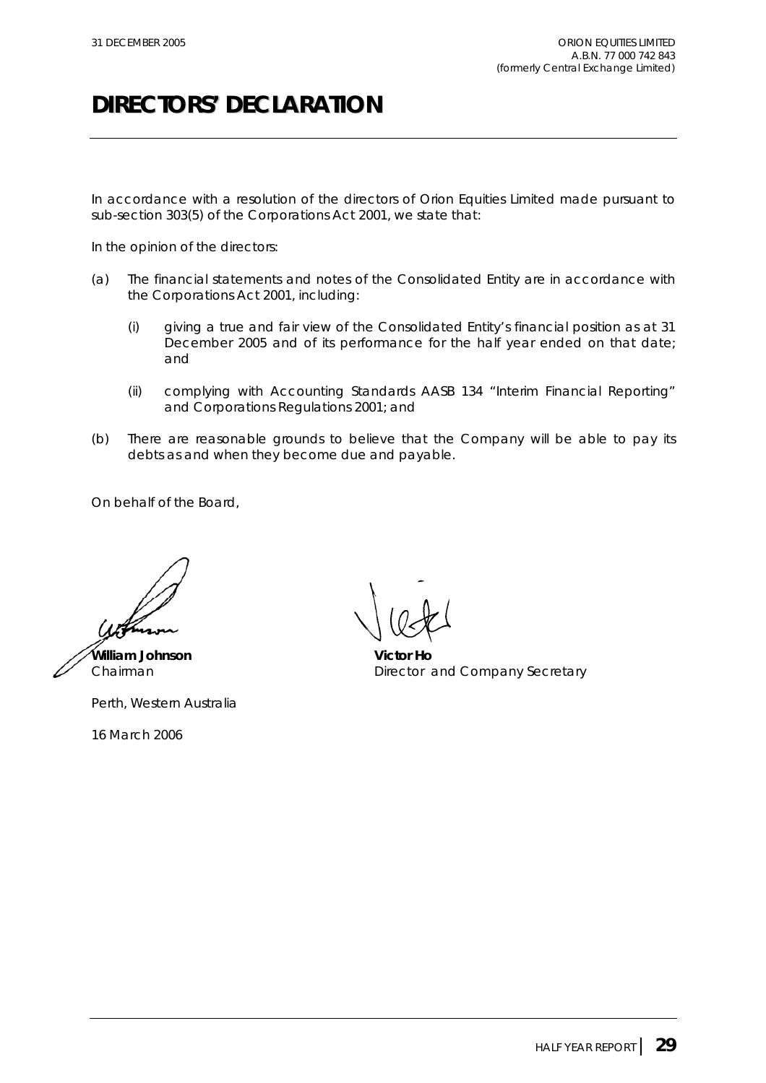# **DIRECTORS' DECLARATION**

In accordance with a resolution of the directors of Orion Equities Limited made pursuant to sub-section 303(5) of the *Corporations Act 2001*, we state that:

In the opinion of the directors:

- (a) The financial statements and notes of the Consolidated Entity are in accordance with the *Corporations Act 2001*, including:
	- (i) giving a true and fair view of the Consolidated Entity's financial position as at 31 December 2005 and of its performance for the half year ended on that date; and
	- (ii) complying with Accounting Standards AASB 134 "Interim Financial Reporting" and *Corporations Regulations 2001*; and
- (b) There are reasonable grounds to believe that the Company will be able to pay its debts as and when they become due and payable.

On behalf of the Board,

**William Johnson Victor Ho**

Perth, Western Australia

16 March 2006

Chairman **Director and Company Secretary**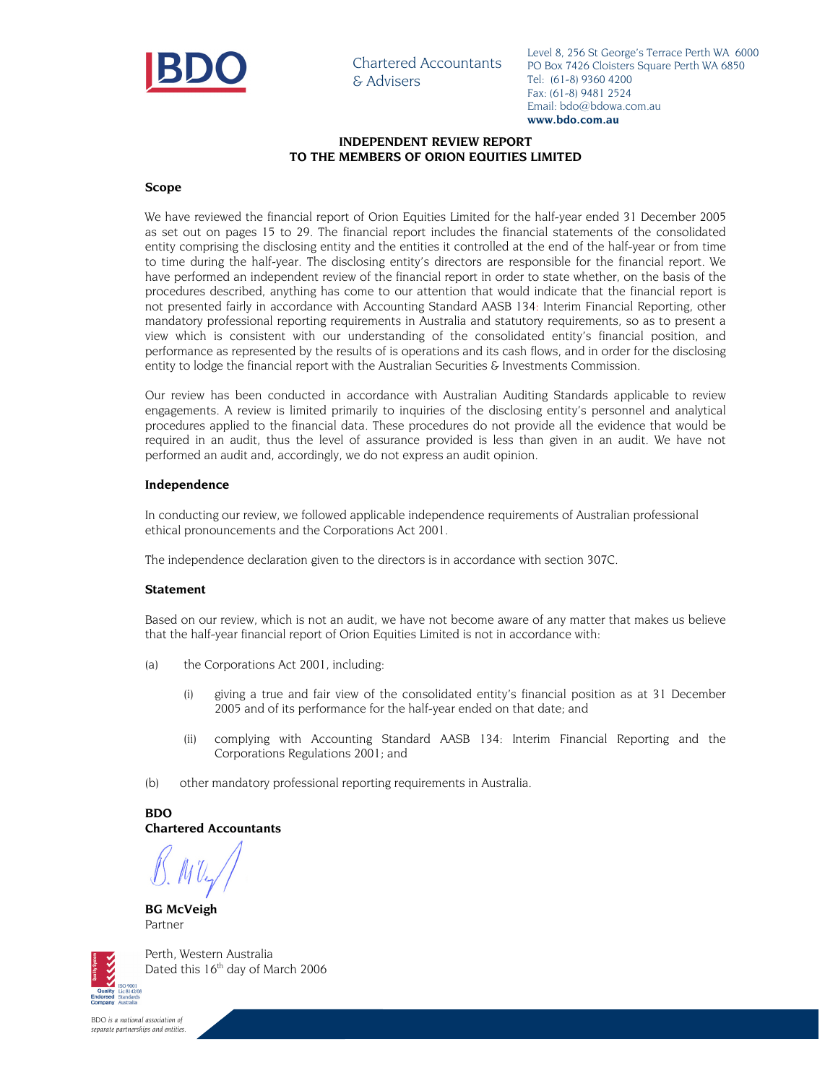

Chartered Accountants & Advisers

Level 8, 256 St George's Terrace Perth WA 6000 PO Box 7426 Cloisters Square Perth WA 6850 Tel: (61-8) 9360 4200 Fax: (61-8) 9481 2524 Email: bdo@bdowa.com.au **www.bdo.com.au**

### **INDEPENDENT REVIEW REPORT TO THE MEMBERS OF ORION EQUITIES LIMITED**

### **Scope**

We have reviewed the financial report of Orion Equities Limited for the half-year ended 31 December 2005 as set out on pages 15 to 29. The financial report includes the financial statements of the consolidated entity comprising the disclosing entity and the entities it controlled at the end of the half-year or from time to time during the half-year. The disclosing entity's directors are responsible for the financial report. We have performed an independent review of the financial report in order to state whether, on the basis of the procedures described, anything has come to our attention that would indicate that the financial report is not presented fairly in accordance with Accounting Standard AASB 134: Interim Financial Reporting, other mandatory professional reporting requirements in Australia and statutory requirements, so as to present a view which is consistent with our understanding of the consolidated entity's financial position, and performance as represented by the results of is operations and its cash flows, and in order for the disclosing entity to lodge the financial report with the Australian Securities & Investments Commission.

Our review has been conducted in accordance with Australian Auditing Standards applicable to review engagements. A review is limited primarily to inquiries of the disclosing entity's personnel and analytical procedures applied to the financial data. These procedures do not provide all the evidence that would be required in an audit, thus the level of assurance provided is less than given in an audit. We have not performed an audit and, accordingly, we do not express an audit opinion.

### **Independence**

In conducting our review, we followed applicable independence requirements of Australian professional ethical pronouncements and the Corporations Act 2001.

The independence declaration given to the directors is in accordance with section 307C.

### **Statement**

Based on our review, which is not an audit, we have not become aware of any matter that makes us believe that the half-year financial report of Orion Equities Limited is not in accordance with:

- (a) the Corporations Act 2001, including:
	- (i) giving a true and fair view of the consolidated entity's financial position as at 31 December 2005 and of its performance for the half-year ended on that date; and
	- (ii) complying with Accounting Standard AASB 134: Interim Financial Reporting and the Corporations Regulations 2001; and
- (b) other mandatory professional reporting requirements in Australia.

**BDO Chartered Accountants** 

**BG McVeigh**  Partner



Perth, Western Australia Dated this 16<sup>th</sup> day of March 2006

*BDO is a national association of separate partnerships and entities.*